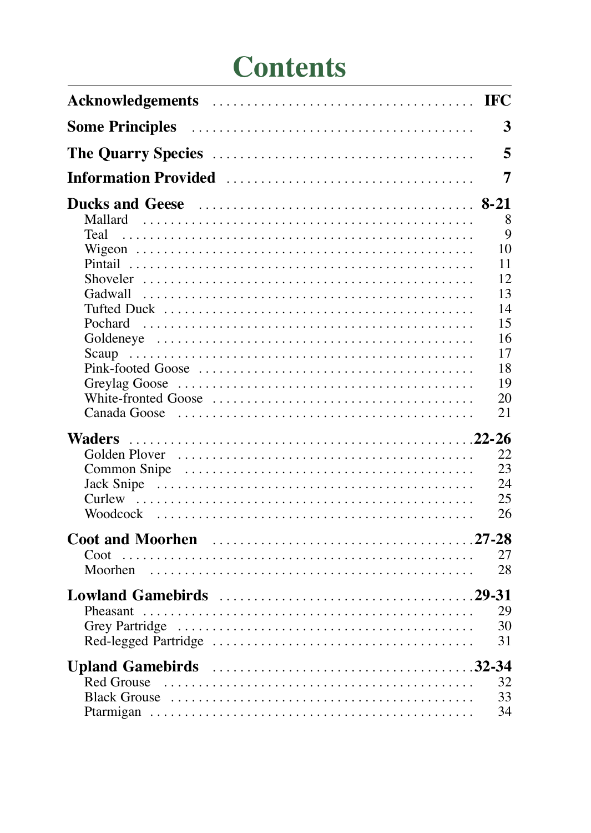# **Contents**

| 3<br>5<br>Information Provided (1996) (1996) (1996) (1996) (1997) (1998) (1998) (1998) (1998) (1999) (1999) (1999) (1999)<br>7<br>8<br>Mallard<br>$\mathbf Q$<br>Teal<br>10<br>11<br>12<br>Shoveler $\ldots \ldots \ldots \ldots \ldots \ldots \ldots \ldots \ldots \ldots \ldots \ldots \ldots$<br>13<br>14<br>15<br>16<br>17<br>18<br>19<br>20<br>21<br>Canada Goose $\ldots \ldots \ldots \ldots \ldots \ldots \ldots \ldots \ldots \ldots \ldots \ldots$<br>22<br>23<br>24<br>25<br>26<br>27<br>28<br>29<br>30<br>31<br>32<br>$\text{Red}$ Grouse $\ldots \ldots \ldots \ldots \ldots \ldots \ldots \ldots \ldots \ldots \ldots \ldots$<br>33<br>34 |  |
|---------------------------------------------------------------------------------------------------------------------------------------------------------------------------------------------------------------------------------------------------------------------------------------------------------------------------------------------------------------------------------------------------------------------------------------------------------------------------------------------------------------------------------------------------------------------------------------------------------------------------------------------------------|--|
|                                                                                                                                                                                                                                                                                                                                                                                                                                                                                                                                                                                                                                                         |  |
|                                                                                                                                                                                                                                                                                                                                                                                                                                                                                                                                                                                                                                                         |  |
|                                                                                                                                                                                                                                                                                                                                                                                                                                                                                                                                                                                                                                                         |  |
|                                                                                                                                                                                                                                                                                                                                                                                                                                                                                                                                                                                                                                                         |  |
|                                                                                                                                                                                                                                                                                                                                                                                                                                                                                                                                                                                                                                                         |  |
|                                                                                                                                                                                                                                                                                                                                                                                                                                                                                                                                                                                                                                                         |  |
|                                                                                                                                                                                                                                                                                                                                                                                                                                                                                                                                                                                                                                                         |  |
|                                                                                                                                                                                                                                                                                                                                                                                                                                                                                                                                                                                                                                                         |  |
|                                                                                                                                                                                                                                                                                                                                                                                                                                                                                                                                                                                                                                                         |  |
|                                                                                                                                                                                                                                                                                                                                                                                                                                                                                                                                                                                                                                                         |  |
|                                                                                                                                                                                                                                                                                                                                                                                                                                                                                                                                                                                                                                                         |  |
|                                                                                                                                                                                                                                                                                                                                                                                                                                                                                                                                                                                                                                                         |  |
|                                                                                                                                                                                                                                                                                                                                                                                                                                                                                                                                                                                                                                                         |  |
|                                                                                                                                                                                                                                                                                                                                                                                                                                                                                                                                                                                                                                                         |  |
|                                                                                                                                                                                                                                                                                                                                                                                                                                                                                                                                                                                                                                                         |  |
|                                                                                                                                                                                                                                                                                                                                                                                                                                                                                                                                                                                                                                                         |  |
|                                                                                                                                                                                                                                                                                                                                                                                                                                                                                                                                                                                                                                                         |  |
|                                                                                                                                                                                                                                                                                                                                                                                                                                                                                                                                                                                                                                                         |  |
|                                                                                                                                                                                                                                                                                                                                                                                                                                                                                                                                                                                                                                                         |  |
|                                                                                                                                                                                                                                                                                                                                                                                                                                                                                                                                                                                                                                                         |  |
|                                                                                                                                                                                                                                                                                                                                                                                                                                                                                                                                                                                                                                                         |  |
|                                                                                                                                                                                                                                                                                                                                                                                                                                                                                                                                                                                                                                                         |  |
|                                                                                                                                                                                                                                                                                                                                                                                                                                                                                                                                                                                                                                                         |  |
|                                                                                                                                                                                                                                                                                                                                                                                                                                                                                                                                                                                                                                                         |  |
|                                                                                                                                                                                                                                                                                                                                                                                                                                                                                                                                                                                                                                                         |  |
|                                                                                                                                                                                                                                                                                                                                                                                                                                                                                                                                                                                                                                                         |  |
|                                                                                                                                                                                                                                                                                                                                                                                                                                                                                                                                                                                                                                                         |  |
|                                                                                                                                                                                                                                                                                                                                                                                                                                                                                                                                                                                                                                                         |  |
|                                                                                                                                                                                                                                                                                                                                                                                                                                                                                                                                                                                                                                                         |  |
|                                                                                                                                                                                                                                                                                                                                                                                                                                                                                                                                                                                                                                                         |  |
|                                                                                                                                                                                                                                                                                                                                                                                                                                                                                                                                                                                                                                                         |  |
|                                                                                                                                                                                                                                                                                                                                                                                                                                                                                                                                                                                                                                                         |  |
|                                                                                                                                                                                                                                                                                                                                                                                                                                                                                                                                                                                                                                                         |  |
|                                                                                                                                                                                                                                                                                                                                                                                                                                                                                                                                                                                                                                                         |  |
|                                                                                                                                                                                                                                                                                                                                                                                                                                                                                                                                                                                                                                                         |  |
|                                                                                                                                                                                                                                                                                                                                                                                                                                                                                                                                                                                                                                                         |  |
|                                                                                                                                                                                                                                                                                                                                                                                                                                                                                                                                                                                                                                                         |  |
|                                                                                                                                                                                                                                                                                                                                                                                                                                                                                                                                                                                                                                                         |  |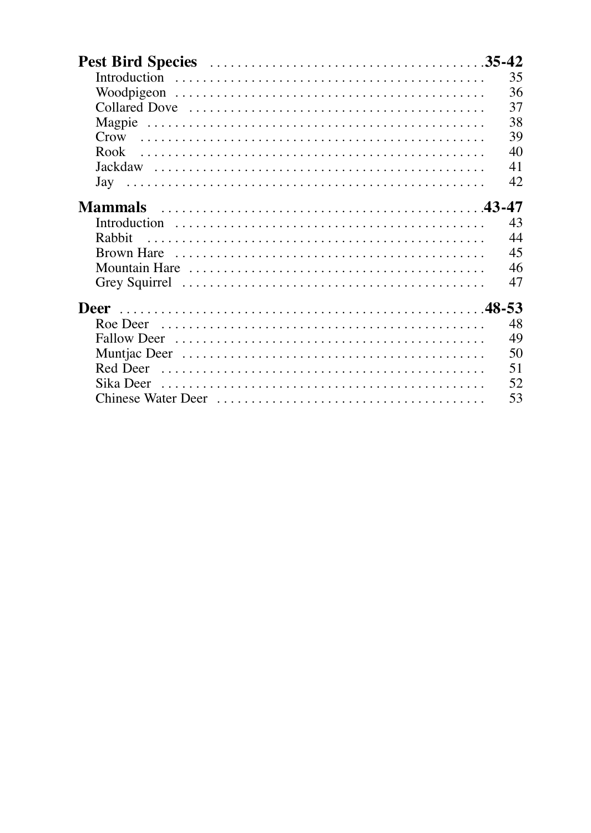|                  | 35 |
|------------------|----|
|                  | 36 |
|                  | 37 |
|                  | 38 |
| $C_{\text{row}}$ | 39 |
| Rook             | 40 |
|                  | 41 |
|                  | 42 |
|                  |    |
| <b>Mammals</b>   |    |
|                  | 43 |
| Rabbit           | 44 |
|                  | 45 |
|                  | 46 |
|                  | 47 |
| Deer             |    |
|                  |    |
| Roe Deer         | 48 |
|                  | 49 |
|                  | 50 |
|                  | 51 |
| Sika Deer        | 52 |
|                  | 53 |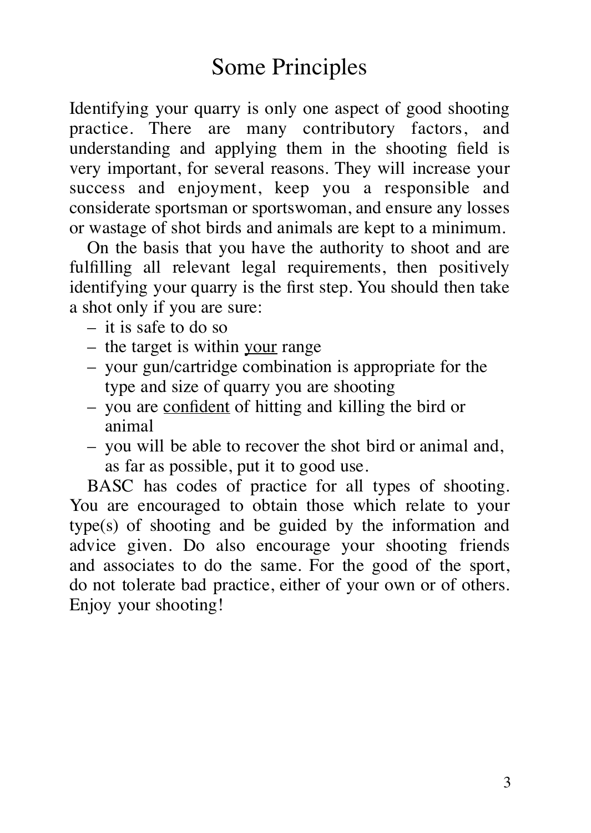Identifying your quarry is only one aspect of good shooting practice. There are many contributory factors, and understanding and applying them in the shooting field is very important, for several reasons. They will increase your success and enjoyment, keep you a responsible and considerate sportsman or sportswoman, and ensure any losses or wastage of shot birds and animals are kept to a minimum.

On the basis that you have the authority to shoot and are fulfilling all relevant legal requirements, then positively identifying your quarry is the first step. You should then take a shot only if you are sure:

- it is safe to do so
- the target is within your range
- your gun/cartridge combination is appropriate for the type and size of quarry you are shooting
- you are confident of hitting and killing the bird or animal
- you will be able to recover the shot bird or animal and, as far as possible, put it to good use.

BASC has codes of practice for all types of shooting. You are encouraged to obtain those which relate to your type(s) of shooting and be guided by the information and advice given. Do also encourage your shooting friends and associates to do the same. For the good of the sport, do not tolerate bad practice, either of your own or of others. Enjoy your shooting!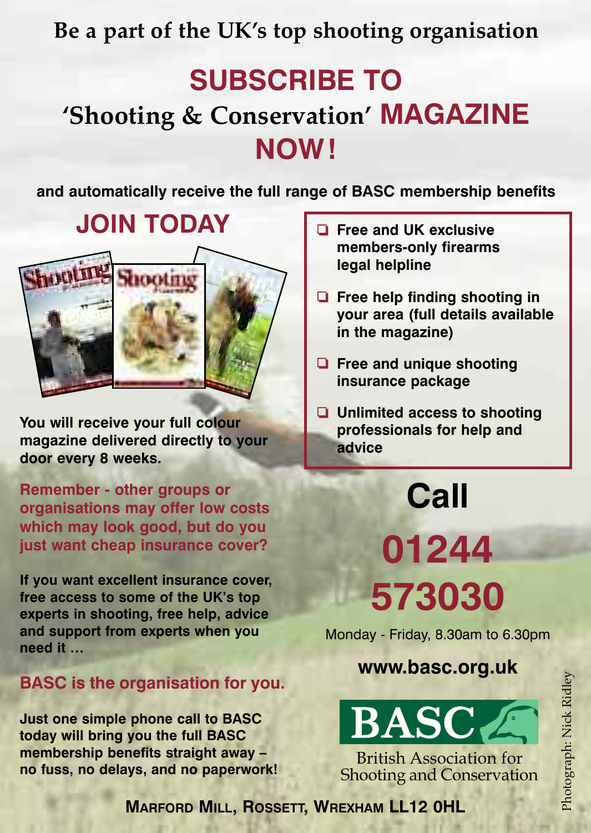**Be a part of the UK's top shooting organisation**

### **SUBSCRIBE TO 'Shooting & Conservation' MAGAZINE NOW!**

**and automatically receive the full range of BASC membership benefits**

### **JOIN TODAY**



**You will receive your full colour magazine delivered directly to your door every 8 weeks.**

**Remember - other groups or organisations may offer low costs which may look good, but do you just want cheap insurance cover?**

**If you want excellent insurance cover, free access to some of the UK's top experts in shooting, free help, advice and support from experts when you need it …**

#### **BASC is the organisation for you.**

**Just one simple phone call to BASC today will bring you the full BASC membership benefits straight away – no fuss, no delays, and no paperwork!**

- ❏ **Free and UK exclusive members-only firearms legal helpline**
- ❏ **Free help finding shooting in your area (full details available in the magazine)**
- ❏ **Free and unique shooting insurance package**
- ❏ **Unlimited access to shooting professionals for help and advice**

# **Call**

**01244 573030**

Monday - Friday, 8.30am to 6.30pm

**www.basc.org.uk**



British Association for Shooting and Conservation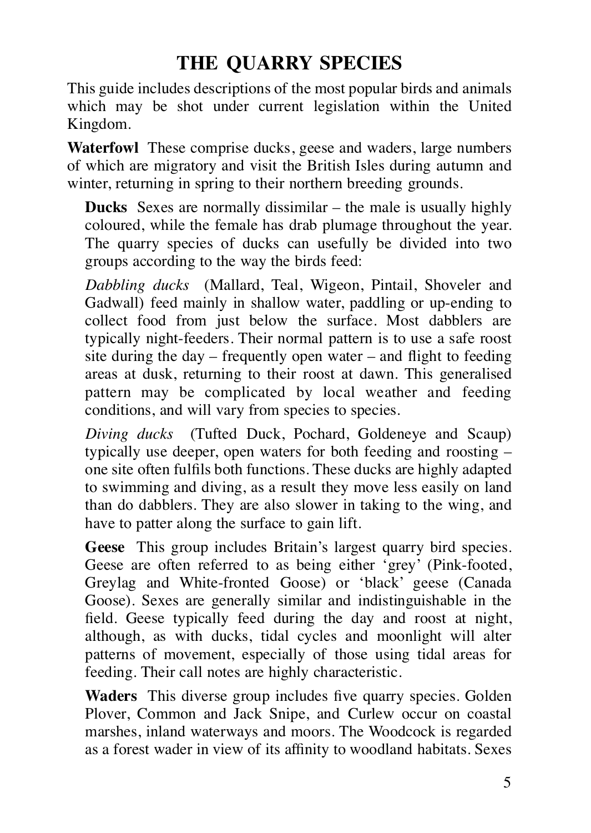### **THE QUARRY SPECIES**

This guide includes descriptions of the most popular birds and animals which may be shot under current legislation within the United Kingdom.

**Waterfowl** These comprise ducks, geese and waders, large numbers of which are migratory and visit the British Isles during autumn and winter, returning in spring to their northern breeding grounds.

**Ducks** Sexes are normally dissimilar – the male is usually highly coloured, while the female has drab plumage throughout the year. The quarry species of ducks can usefully be divided into two groups according to the way the birds feed:

*Dabbling ducks* (Mallard, Teal, Wigeon, Pintail, Shoveler and Gadwall) feed mainly in shallow water, paddling or up-ending to collect food from just below the surface. Most dabblers are typically night-feeders. Their normal pattern is to use a safe roost site during the day – frequently open water – and flight to feeding areas at dusk, returning to their roost at dawn. This generalised pattern may be complicated by local weather and feeding conditions, and will vary from species to species.

*Diving ducks* (Tufted Duck, Pochard, Goldeneye and Scaup) typically use deeper, open waters for both feeding and roosting – one site often fulfils both functions. These ducks are highly adapted to swimming and diving, as a result they move less easily on land than do dabblers. They are also slower in taking to the wing, and have to patter along the surface to gain lift.

**Geese** This group includes Britain's largest quarry bird species. Geese are often referred to as being either 'grey' (Pink-footed, Greylag and White-fronted Goose) or 'black' geese (Canada Goose). Sexes are generally similar and indistinguishable in the field. Geese typically feed during the day and roost at night, although, as with ducks, tidal cycles and moonlight will alter patterns of movement, especially of those using tidal areas for feeding. Their call notes are highly characteristic.

**Waders** This diverse group includes five quarry species. Golden Plover, Common and Jack Snipe, and Curlew occur on coastal marshes, inland waterways and moors. The Woodcock is regarded as a forest wader in view of its affinity to woodland habitats. Sexes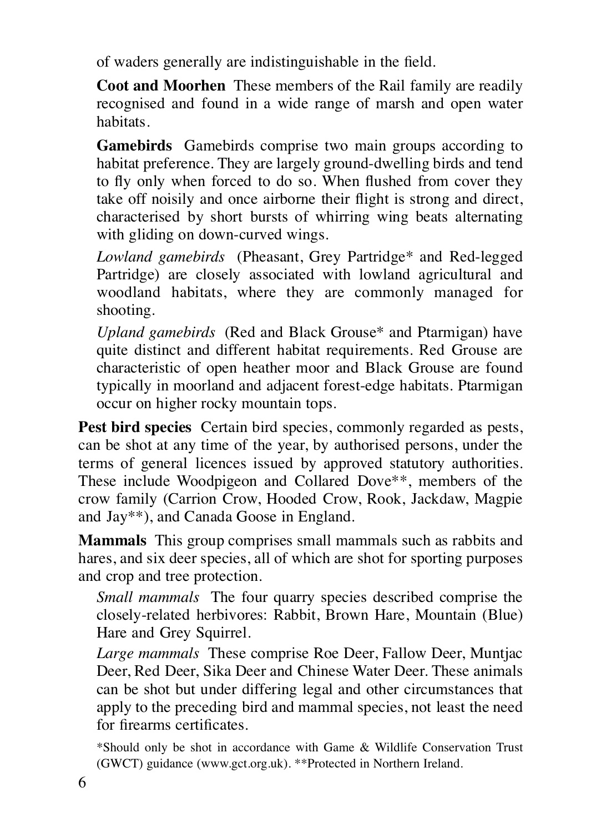of waders generally are indistinguishable in the field.

**Coot and Moorhen** These members of the Rail family are readily recognised and found in a wide range of marsh and open water habitats.

**Gamebirds** Gamebirds comprise two main groups according to habitat preference. They are largely ground-dwelling birds and tend to fly only when forced to do so. When flushed from cover they take off noisily and once airborne their flight is strong and direct, characterised by short bursts of whirring wing beats alternating with gliding on down-curved wings.

*Lowland gamebirds* (Pheasant, Grey Partridge\* and Red-legged Partridge) are closely associated with lowland agricultural and woodland habitats, where they are commonly managed for shooting.

*Upland gamebirds* (Red and Black Grouse\* and Ptarmigan) have quite distinct and different habitat requirements. Red Grouse are characteristic of open heather moor and Black Grouse are found typically in moorland and adjacent forest-edge habitats. Ptarmigan occur on higher rocky mountain tops.

**Pest bird species** Certain bird species, commonly regarded as pests, can be shot at any time of the year, by authorised persons, under the terms of general licences issued by approved statutory authorities. These include Woodpigeon and Collared Dove\*\*, members of the crow family (Carrion Crow, Hooded Crow, Rook, Jackdaw, Magpie and Jay\*\*), and Canada Goose in England.

**Mammals** This group comprises small mammals such as rabbits and hares, and six deer species, all of which are shot for sporting purposes and crop and tree protection.

*Small mammals* The four quarry species described comprise the closely-related herbivores: Rabbit, Brown Hare, Mountain (Blue) Hare and Grey Squirrel.

*Large mammals* These comprise Roe Deer, Fallow Deer, Muntjac Deer, Red Deer, Sika Deer and Chinese Water Deer. These animals can be shot but under differing legal and other circumstances that apply to the preceding bird and mammal species, not least the need for firearms certificates.

\*Should only be shot in accordance with Game & Wildlife Conservation Trust (GWCT) guidance (www.gct.org.uk). \*\*Protected in Northern Ireland.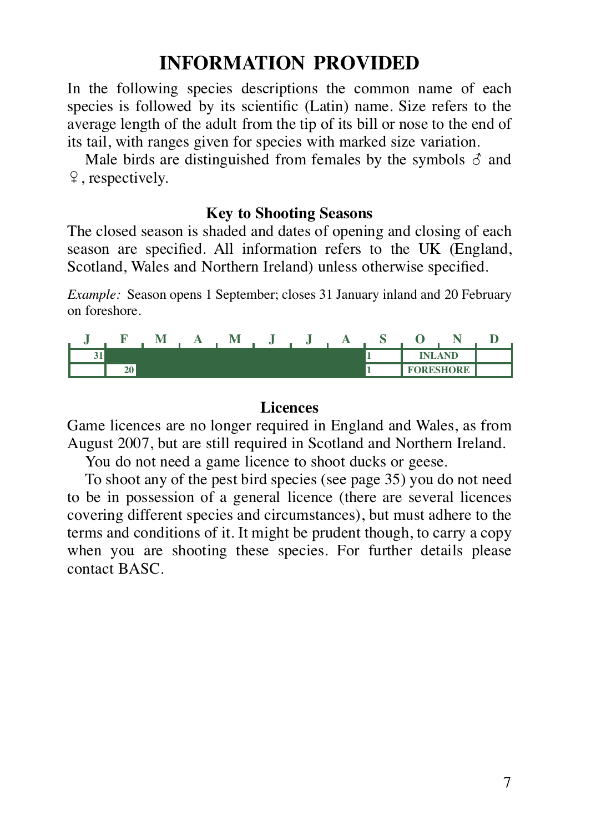#### **INFORMATION PROVIDED**

In the following species descriptions the common name of each species is followed by its scientific (Latin) name. Size refers to the average length of the adult from the tip of its bill or nose to the end of its tail, with ranges given for species with marked size variation.

Male birds are distinguished from females by the symbols  $\delta$  and  $\varphi$ , respectively.

#### **Key to Shooting Seasons**

The closed season is shaded and dates of opening and closing of each season are specified. All information refers to the UK (England, Scotland, Wales and Northern Ireland) unless otherwise specified.

*Example:* Season opens 1 September; closes 31 January inland and 20 February on foreshore.

|          |               |  | - - - |  |  |                  |  |
|----------|---------------|--|-------|--|--|------------------|--|
| c.<br>vл |               |  |       |  |  | <b>INLAND</b>    |  |
|          | $\sim$<br>20. |  |       |  |  | <b>FORESHORE</b> |  |

#### **Licences**

Game licences are no longer required in England and Wales, as from August 2007, but are still required in Scotland and Northern Ireland.

You do not need a game licence to shoot ducks or geese.

To shoot any of the pest bird species (see page 35) you do not need to be in possession of a general licence (there are several licences covering different species and circumstances), but must adhere to the terms and conditions of it. It might be prudent though, to carry a copy when you are shooting these species. For further details please contact BASC.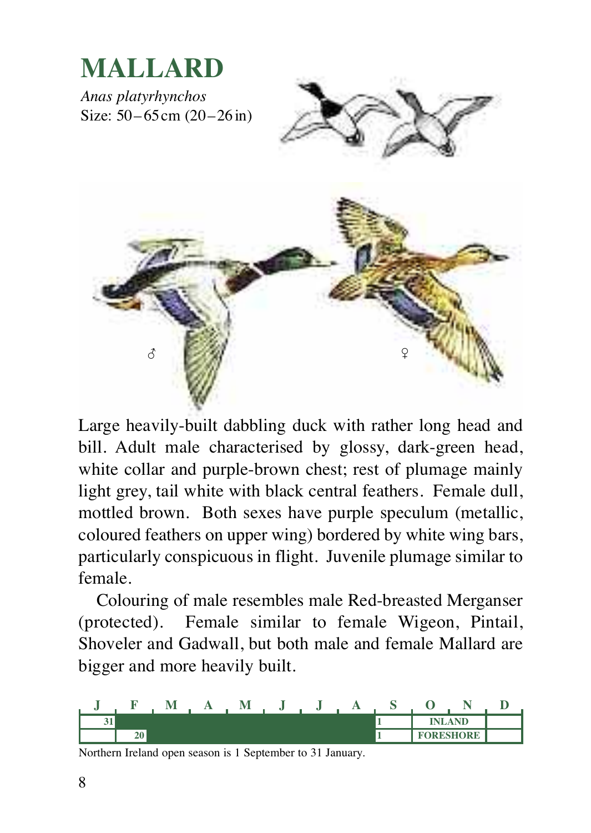

Large heavily-built dabbling duck with rather long head and bill. Adult male characterised by glossy, dark-green head, white collar and purple-brown chest; rest of plumage mainly light grey, tail white with black central feathers. Female dull, mottled brown. Both sexes have purple speculum (metallic, coloured feathers on upper wing) bordered by white wing bars, particularly conspicuous in flight. Juvenile plumage similar to female.

Colouring of male resembles male Red-breasted Merganser (protected). Female similar to female Wigeon, Pintail, Shoveler and Gadwall, but both male and female Mallard are bigger and more heavily built.

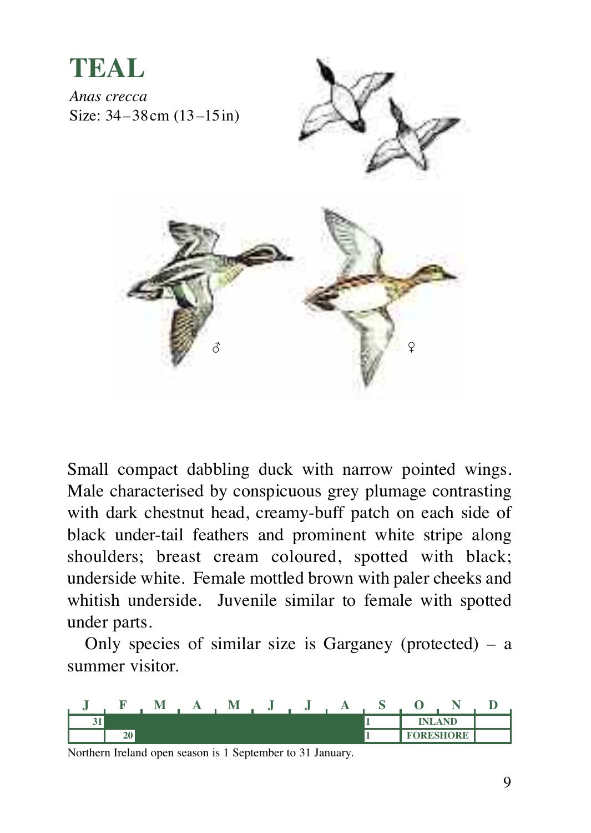

Small compact dabbling duck with narrow pointed wings. Male characterised by conspicuous grey plumage contrasting with dark chestnut head, creamy-buff patch on each side of black under-tail feathers and prominent white stripe along shoulders; breast cream coloured, spotted with black; underside white. Female mottled brown with paler cheeks and whitish underside. Juvenile similar to female with spotted under parts.

Only species of similar size is Garganey (protected) – a summer visitor.

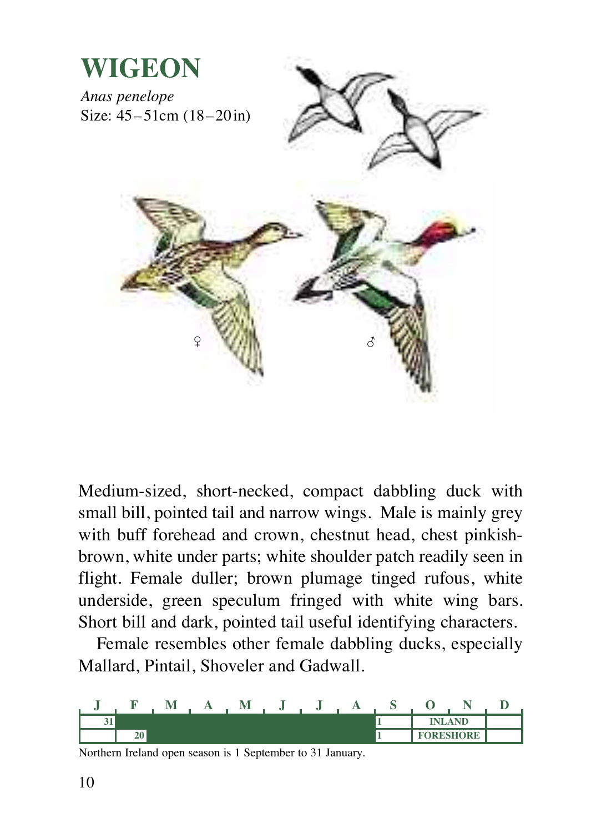

Medium-sized, short-necked, compact dabbling duck with small bill, pointed tail and narrow wings. Male is mainly grey with buff forehead and crown, chestnut head, chest pinkishbrown, white under parts; white shoulder patch readily seen in flight. Female duller; brown plumage tinged rufous, white underside, green speculum fringed with white wing bars. Short bill and dark, pointed tail useful identifying characters.

Female resembles other female dabbling ducks, especially Mallard, Pintail, Shoveler and Gadwall.

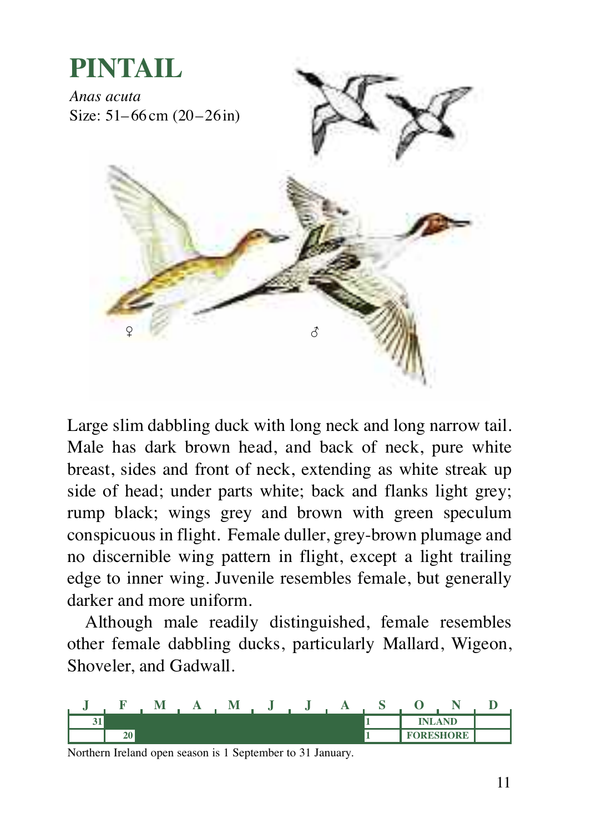

Large slim dabbling duck with long neck and long narrow tail. Male has dark brown head, and back of neck, pure white breast, sides and front of neck, extending as white streak up side of head; under parts white; back and flanks light grey; rump black; wings grey and brown with green speculum conspicuous in flight. Female duller, grey-brown plumage and no discernible wing pattern in flight, except a light trailing edge to inner wing. Juvenile resembles female, but generally darker and more uniform.

Although male readily distinguished, female resembles other female dabbling ducks, particularly Mallard, Wigeon, Shoveler, and Gadwall.

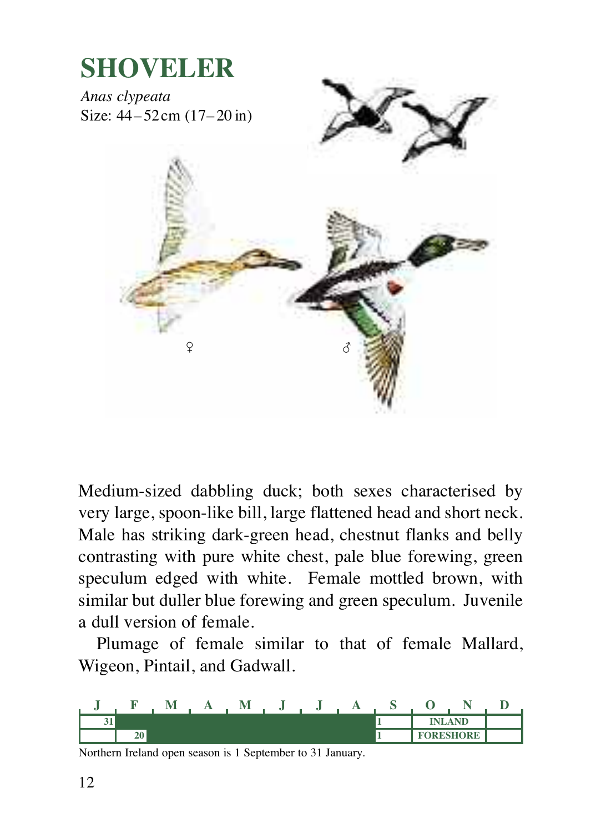

Medium-sized dabbling duck; both sexes characterised by very large, spoon-like bill, large flattened head and short neck. Male has striking dark-green head, chestnut flanks and belly contrasting with pure white chest, pale blue forewing, green speculum edged with white. Female mottled brown, with similar but duller blue forewing and green speculum. Juvenile a dull version of female.

Plumage of female similar to that of female Mallard, Wigeon, Pintail, and Gadwall.

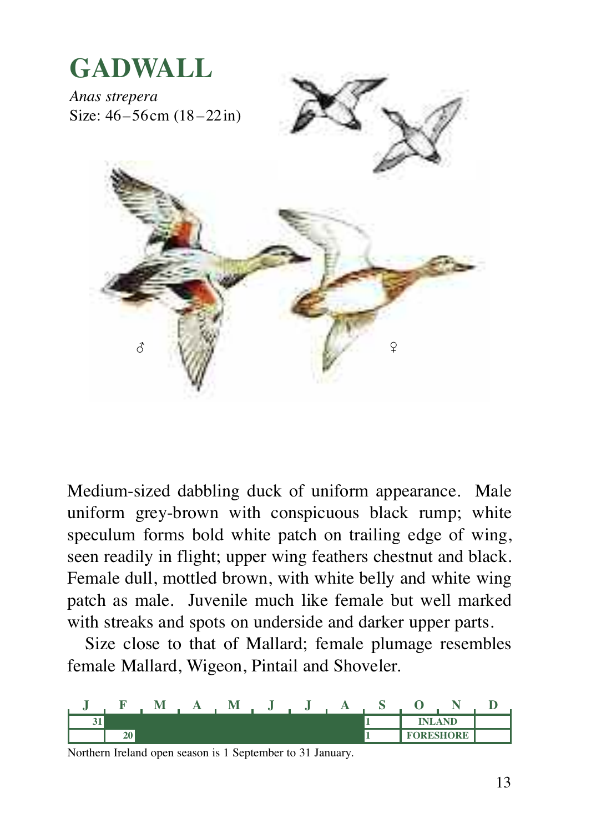

Medium-sized dabbling duck of uniform appearance. Male uniform grey-brown with conspicuous black rump; white speculum forms bold white patch on trailing edge of wing, seen readily in flight; upper wing feathers chestnut and black. Female dull, mottled brown, with white belly and white wing patch as male. Juvenile much like female but well marked with streaks and spots on underside and darker upper parts.

Size close to that of Mallard; female plumage resembles female Mallard, Wigeon, Pintail and Shoveler.

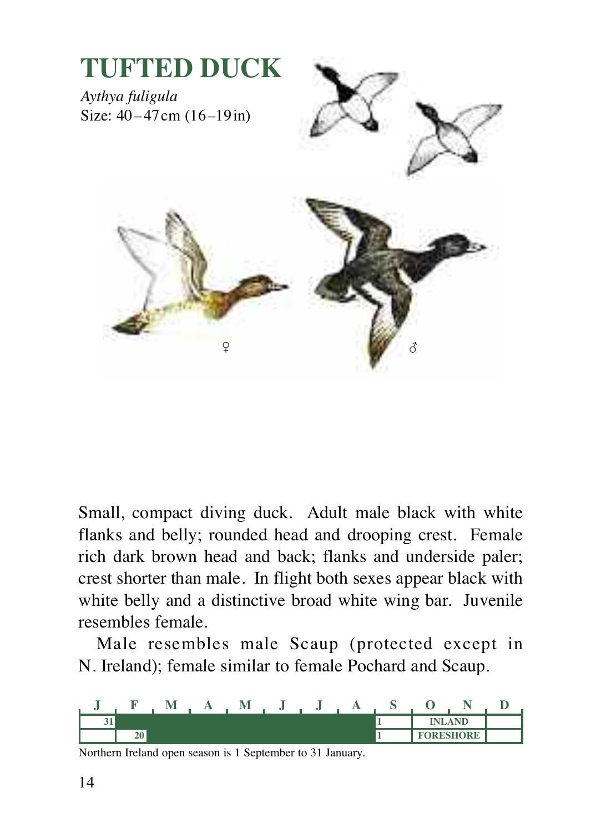

Small, compact diving duck. Adult male black with white flanks and belly; rounded head and drooping crest. Female rich dark brown head and back; flanks and underside paler; crest shorter than male. In flight both sexes appear black with white belly and a distinctive broad white wing bar. Juvenile resembles female.

Male resembles male Scaup (protected except in N. Ireland); female similar to female Pochard and Scaup.

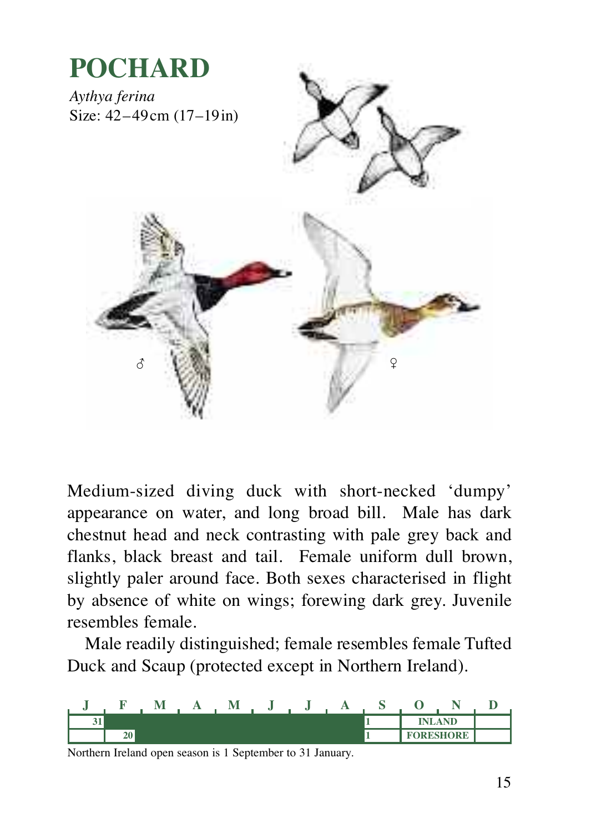

Medium-sized diving duck with short-necked 'dumpy' appearance on water, and long broad bill. Male has dark chestnut head and neck contrasting with pale grey back and flanks, black breast and tail. Female uniform dull brown, slightly paler around face. Both sexes characterised in flight by absence of white on wings; forewing dark grey. Juvenile resembles female.

Male readily distinguished; female resembles female Tufted Duck and Scaup (protected except in Northern Ireland).

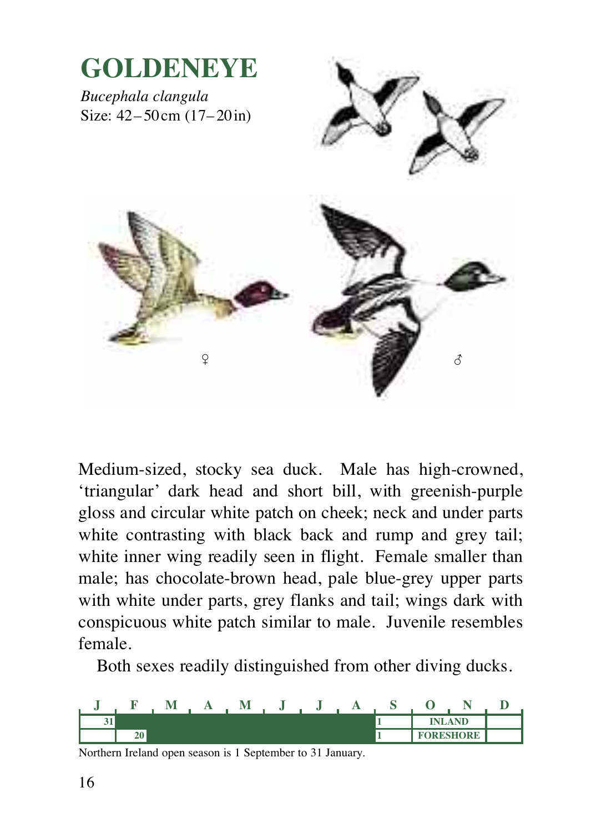

Medium-sized, stocky sea duck. Male has high-crowned, 'triangular' dark head and short bill, with greenish-purple gloss and circular white patch on cheek; neck and under parts white contrasting with black back and rump and grey tail; white inner wing readily seen in flight. Female smaller than male; has chocolate-brown head, pale blue-grey upper parts with white under parts, grey flanks and tail; wings dark with conspicuous white patch similar to male. Juvenile resembles female.

Both sexes readily distinguished from other diving ducks.

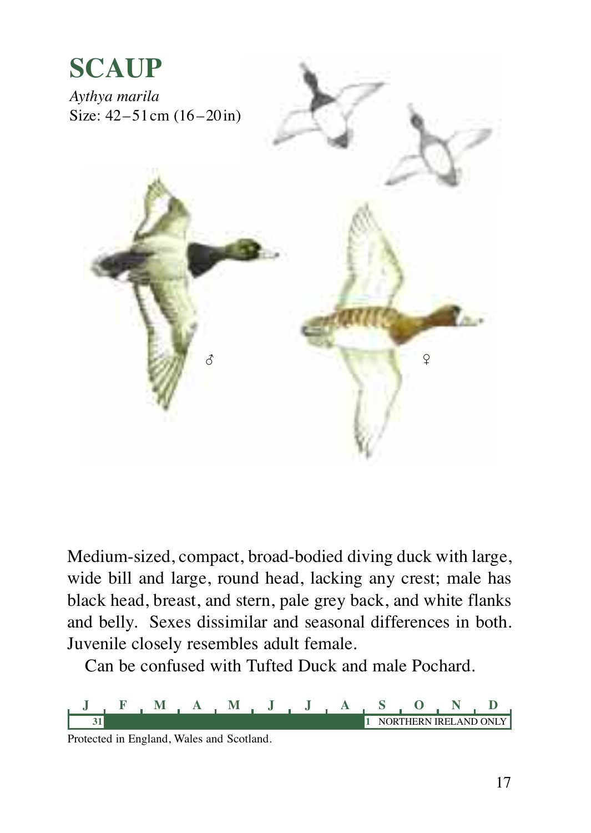

Medium-sized, compact, broad-bodied diving duck with large, wide bill and large, round head, lacking any crest; male has black head, breast, and stern, pale grey back, and white flanks and belly. Sexes dissimilar and seasonal differences in both. Juvenile closely resembles adult female.

Can be confused with Tufted Duck and male Pochard.



Protected in England, Wales and Scotland.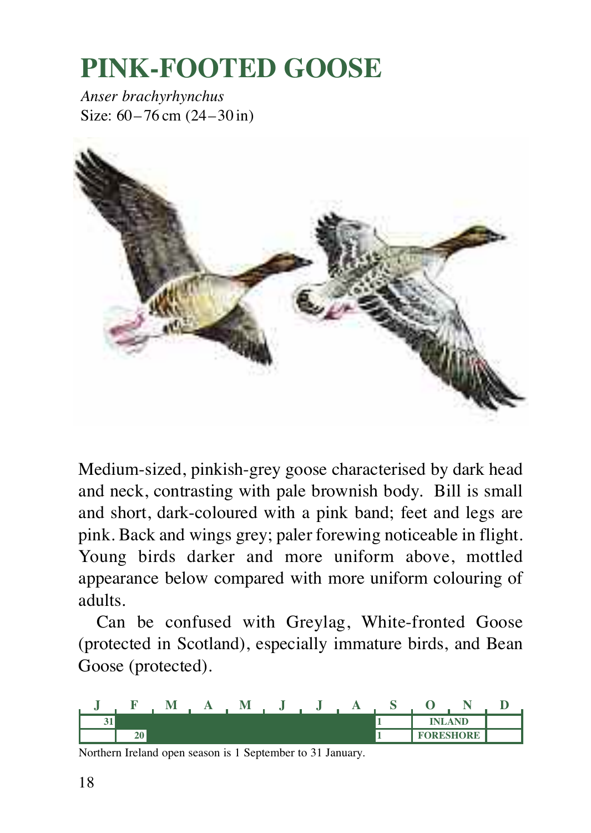### **PINK-FOOTED GOOSE**

*Anser brachyrhynchus* Size: 60–76 cm (24–30 in)



Medium-sized, pinkish-grey goose characterised by dark head and neck, contrasting with pale brownish body. Bill is small and short, dark-coloured with a pink band; feet and legs are pink. Back and wings grey; paler forewing noticeable in flight. Young birds darker and more uniform above, mottled appearance below compared with more uniform colouring of adults.

Can be confused with Greylag, White-fronted Goose (protected in Scotland), especially immature birds, and Bean Goose (protected).

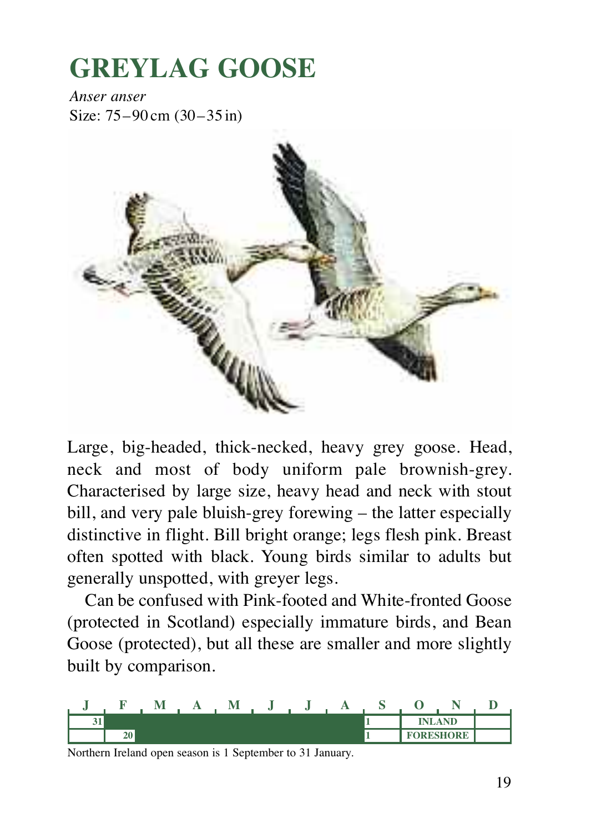### **GREYLAG GOOSE**

*Anser anser* Size: 75–90 cm (30–35 in)



Large, big-headed, thick-necked, heavy grey goose. Head, neck and most of body uniform pale brownish-grey. Characterised by large size, heavy head and neck with stout bill, and very pale bluish-grey forewing – the latter especially distinctive in flight. Bill bright orange; legs flesh pink. Breast often spotted with black. Young birds similar to adults but generally unspotted, with greyer legs.

Can be confused with Pink-footed and White-fronted Goose (protected in Scotland) especially immature birds, and Bean Goose (protected), but all these are smaller and more slightly built by comparison.

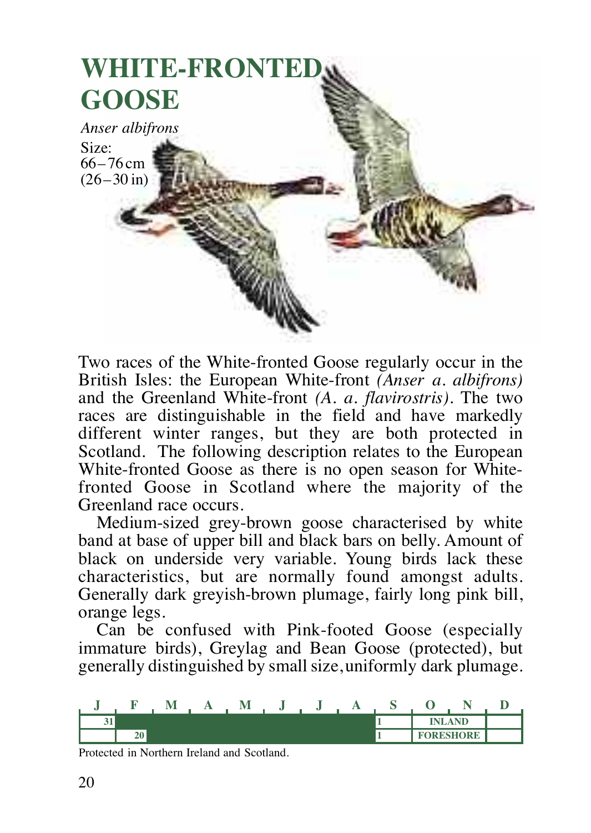

Two races of the White-fronted Goose regularly occur in the British Isles: the European White-front *(Anser a. albifrons)* and the Greenland White-front *(A. a. flavirostris)*. The two races are distinguishable in the field and have markedly different winter ranges, but they are both protected in Scotland. The following description relates to the European White-fronted Goose as there is no open season for Whitefronted Goose in Scotland where the majority of the Greenland race occurs.

Medium-sized grey-brown goose characterised by white band at base of upper bill and black bars on belly. Amount of black on underside very variable. Young birds lack these characteristics, but are normally found amongst adults. Generally dark greyish-brown plumage, fairly long pink bill, orange legs.

Can be confused with Pink-footed Goose (especially immature birds), Greylag and Bean Goose (protected), but generally distinguished by small size, uniformly dark plumage.



Protected in Northern Ireland and Scotland.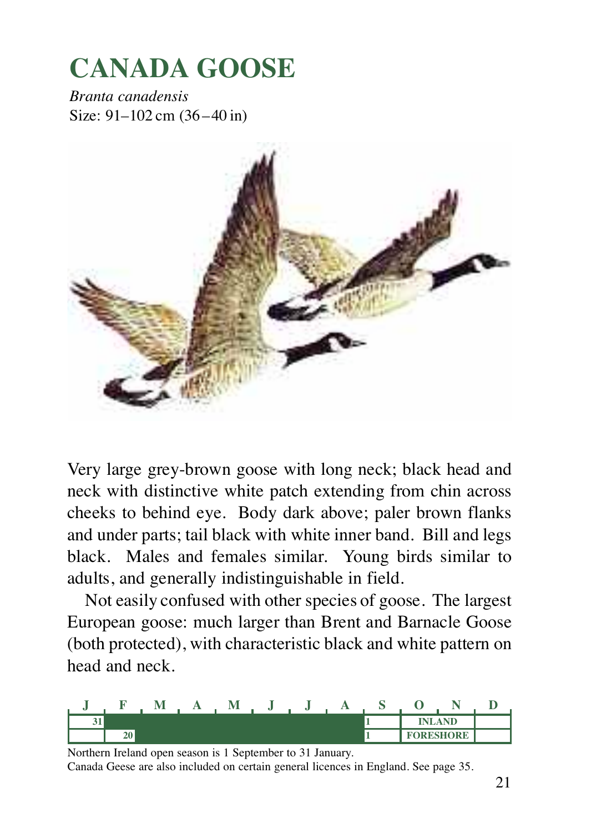### **CANADA GOOSE**

*Branta canadensis* Size: 91–102 cm (36–40 in)



Very large grey-brown goose with long neck; black head and neck with distinctive white patch extending from chin across cheeks to behind eye. Body dark above; paler brown flanks and under parts; tail black with white inner band. Bill and legs black. Males and females similar. Young birds similar to adults, and generally indistinguishable in field.

Not easily confused with other species of goose. The largest European goose: much larger than Brent and Barnacle Goose (both protected), with characteristic black and white pattern on head and neck.



Northern Ireland open season is 1 September to 31 January.

Canada Geese are also included on certain general licences in England. See page 35.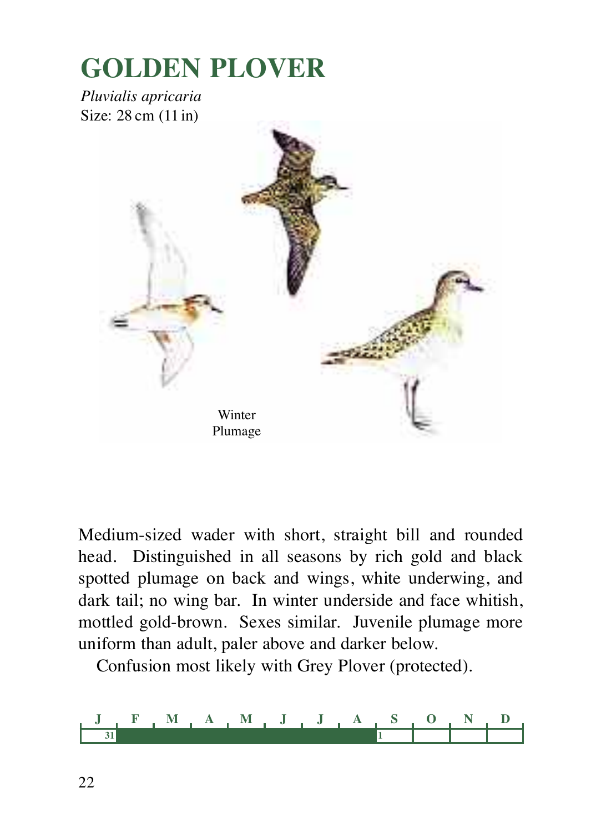### **GOLDEN PLOVER**

*Pluvialis apricaria* Size: 28 cm (11in)



Medium-sized wader with short, straight bill and rounded head. Distinguished in all seasons by rich gold and black spotted plumage on back and wings, white underwing, and dark tail; no wing bar. In winter underside and face whitish, mottled gold-brown. Sexes similar. Juvenile plumage more uniform than adult, paler above and darker below.

Confusion most likely with Grey Plover (protected).

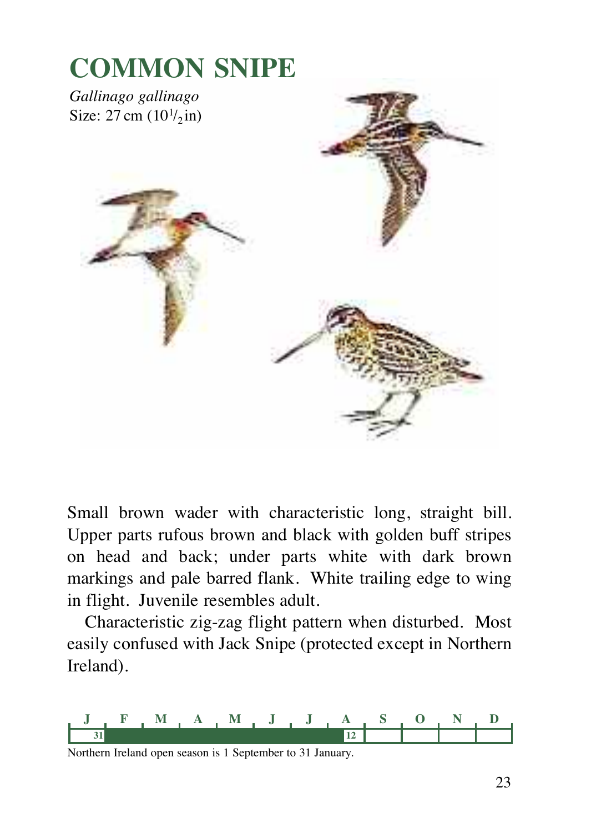

Small brown wader with characteristic long, straight bill. Upper parts rufous brown and black with golden buff stripes on head and back; under parts white with dark brown markings and pale barred flank. White trailing edge to wing in flight. Juvenile resembles adult.

Characteristic zig-zag flight pattern when disturbed. Most easily confused with Jack Snipe (protected except in Northern Ireland).

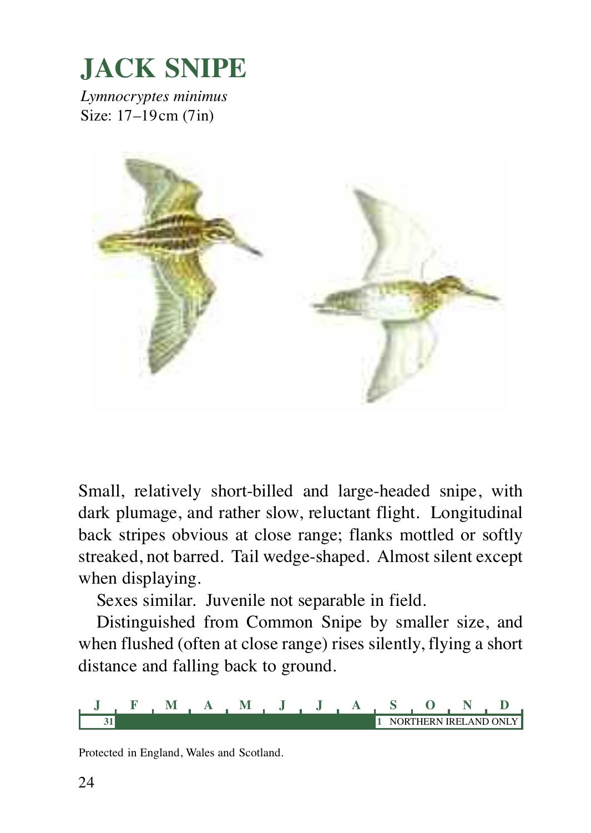

*Lymnocryptes minimus* Size: 17–19cm (7in)



Small, relatively short-billed and large-headed snipe, with dark plumage, and rather slow, reluctant flight. Longitudinal back stripes obvious at close range; flanks mottled or softly streaked, not barred. Tail wedge-shaped. Almost silent except when displaying.

Sexes similar. Juvenile not separable in field.

Distinguished from Common Snipe by smaller size, and when flushed (often at close range) rises silently, flying a short distance and falling back to ground.



Protected in England, Wales and Scotland.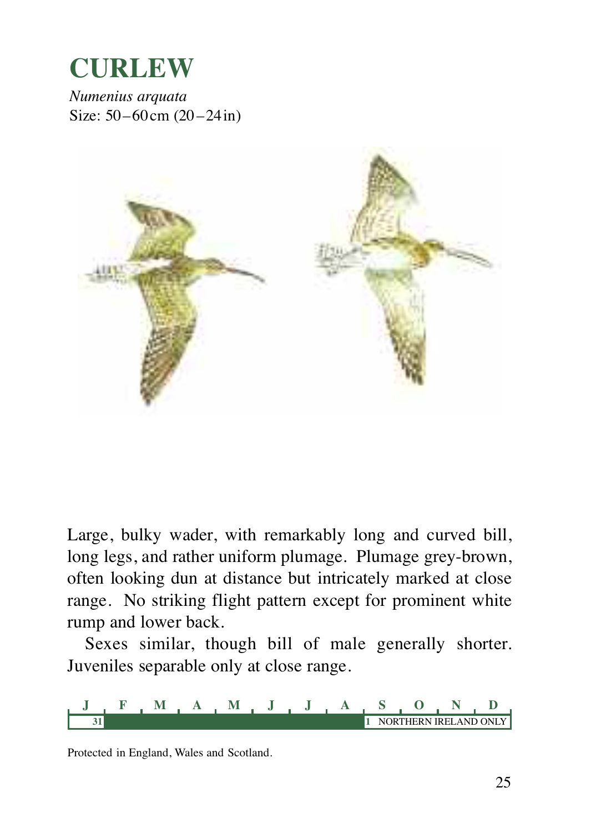

*Numenius arquata* Size: 50–60cm (20–24in)



Large, bulky wader, with remarkably long and curved bill, long legs, and rather uniform plumage. Plumage grey-brown, often looking dun at distance but intricately marked at close range. No striking flight pattern except for prominent white rump and lower back.

Sexes similar, though bill of male generally shorter. Juveniles separable only at close range.

**J FMAMJ J A S OND 31 1** NORTHERN IRELAND ONLY

Protected in England, Wales and Scotland.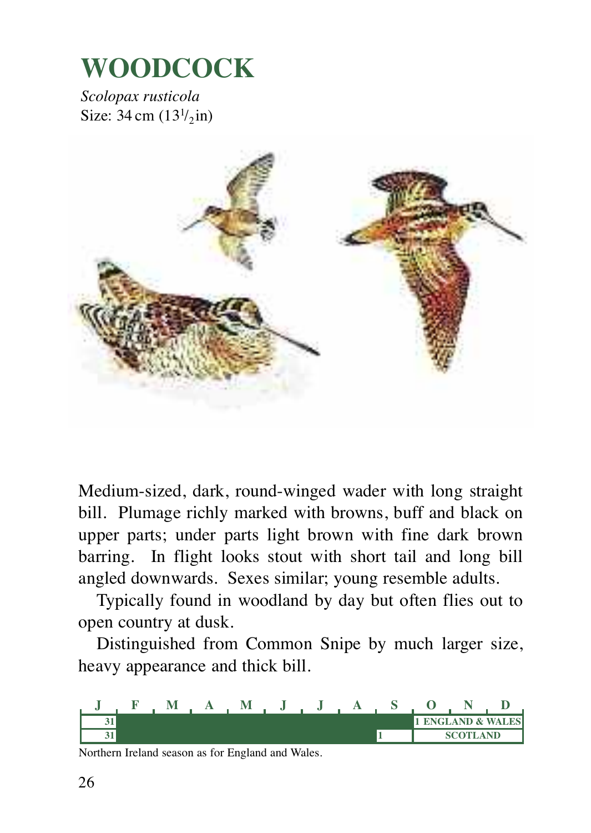### **WOODCOCK**

*Scolopax rusticola* Size:  $34 \text{ cm } (13^{1}/_{2} \text{ in})$ 



Medium-sized, dark, round-winged wader with long straight bill. Plumage richly marked with browns, buff and black on upper parts; under parts light brown with fine dark brown barring. In flight looks stout with short tail and long bill angled downwards. Sexes similar; young resemble adults.

Typically found in woodland by day but often flies out to open country at dusk.

Distinguished from Common Snipe by much larger size, heavy appearance and thick bill.



Northern Ireland season as for England and Wales.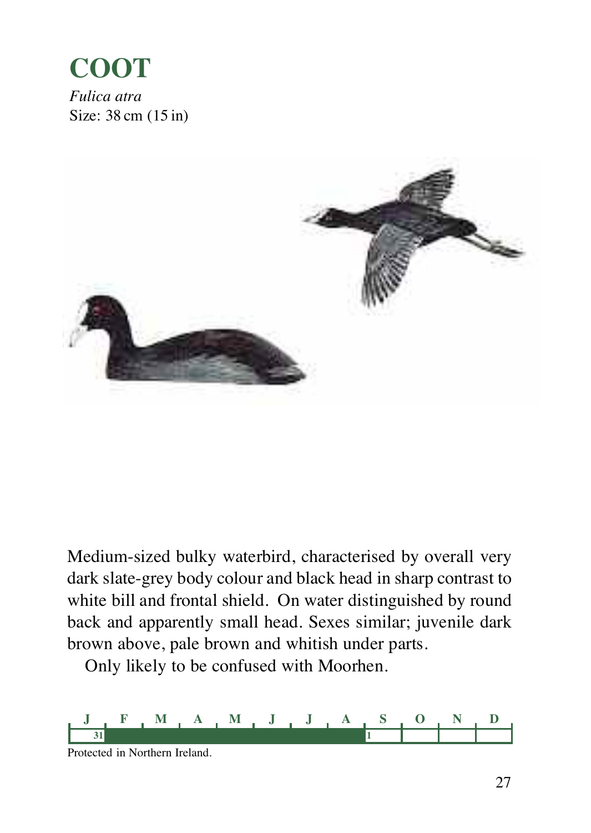#### **COOT** *Fulica atra*

Size: 38 cm (15 in)



Medium-sized bulky waterbird, characterised by overall very dark slate-grey body colour and black head in sharp contrast to white bill and frontal shield. On water distinguished by round back and apparently small head. Sexes similar; juvenile dark brown above, pale brown and whitish under parts.

Only likely to be confused with Moorhen.

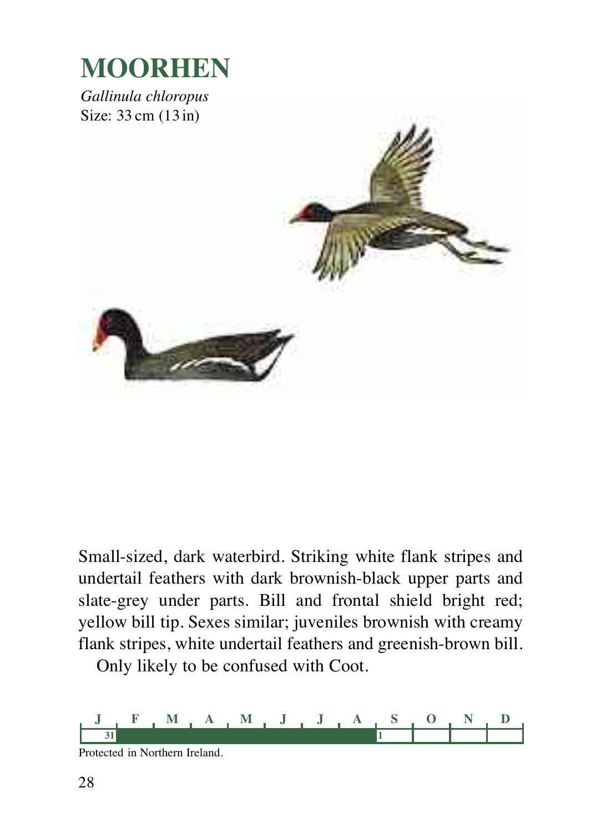

*Gallinula chloropus* Size: 33 cm (13 in)



Small-sized, dark waterbird. Striking white flank stripes and undertail feathers with dark brownish-black upper parts and slate-grey under parts. Bill and frontal shield bright red; yellow bill tip. Sexes similar; juveniles brownish with creamy flank stripes, white undertail feathers and greenish-brown bill.

Only likely to be confused with Coot.



Protected in Northern Ireland.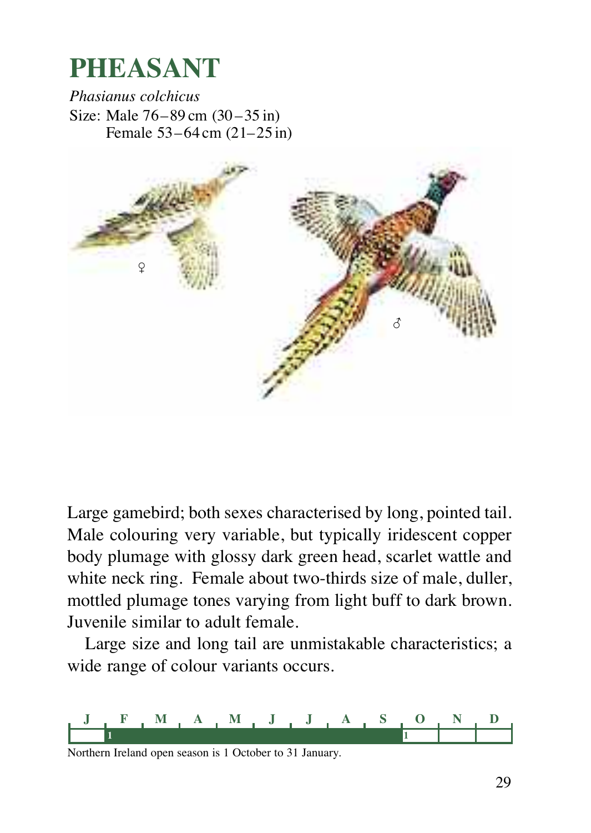### **PHEASANT**

*Phasianus colchicus* Size: Male 76–89 cm (30–35 in) Female 53–64 cm (21–25 in)



Large gamebird; both sexes characterised by long, pointed tail. Male colouring very variable, but typically iridescent copper body plumage with glossy dark green head, scarlet wattle and white neck ring. Female about two-thirds size of male, duller, mottled plumage tones varying from light buff to dark brown. Juvenile similar to adult female.

Large size and long tail are unmistakable characteristics; a wide range of colour variants occurs.

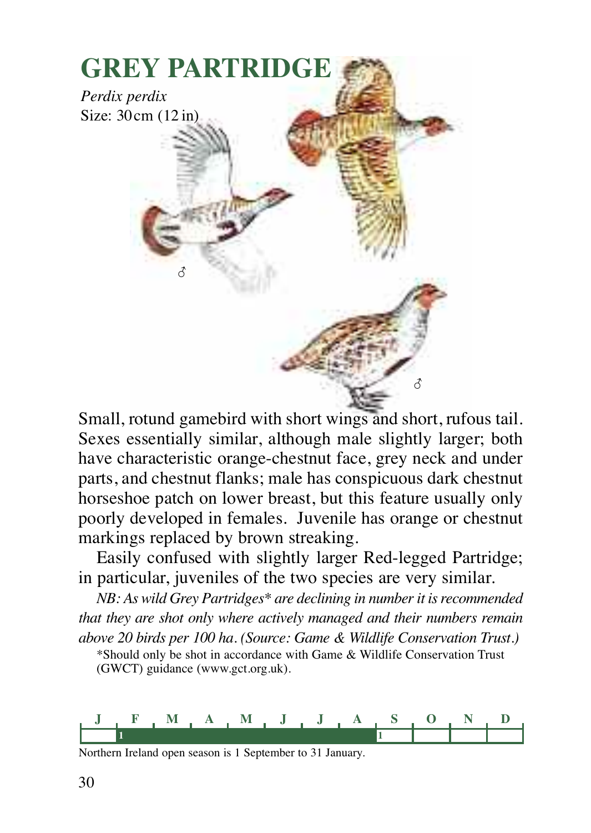

Small, rotund gamebird with short wings and short, rufous tail. Sexes essentially similar, although male slightly larger; both have characteristic orange-chestnut face, grey neck and under parts, and chestnut flanks; male has conspicuous dark chestnut horseshoe patch on lower breast, but this feature usually only poorly developed in females. Juvenile has orange or chestnut markings replaced by brown streaking.

Easily confused with slightly larger Red-legged Partridge; in particular, juveniles of the two species are very similar.

*NB: As wild Grey Partridges\* are declining in numberit isrecommended that they are shot only where actively managed and their numbers remain above 20 birds per 100 ha. (Source: Game & Wildlife Conservation Trust.)*

\*Should only be shot in accordance with Game & Wildlife Conservation Trust (GWCT) guidance (www.gct.org.uk).

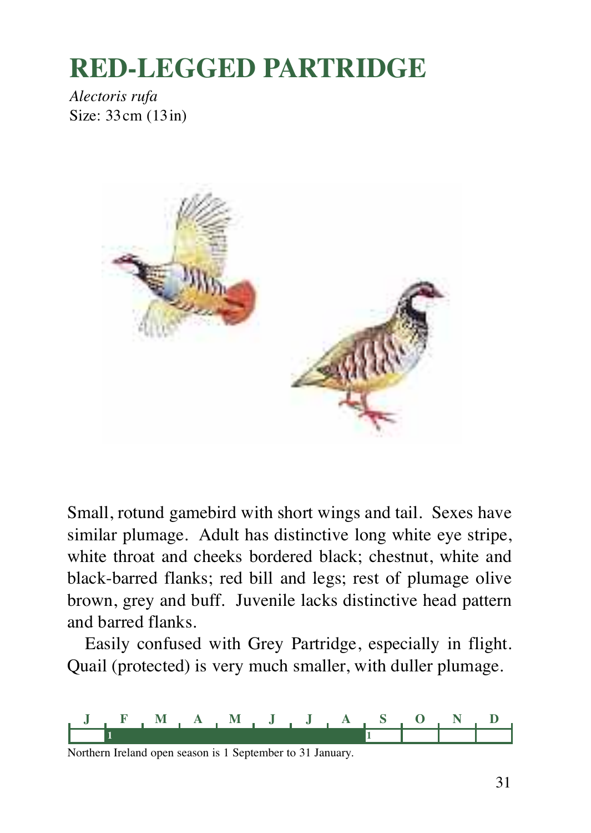### **RED-LEGGED PARTRIDGE**

*Alectoris rufa* Size: 33cm (13in)



Small, rotund gamebird with short wings and tail. Sexes have similar plumage. Adult has distinctive long white eye stripe, white throat and cheeks bordered black; chestnut, white and black-barred flanks; red bill and legs; rest of plumage olive brown, grey and buff. Juvenile lacks distinctive head pattern and barred flanks.

Easily confused with Grey Partridge, especially in flight. Quail (protected) is very much smaller, with duller plumage.

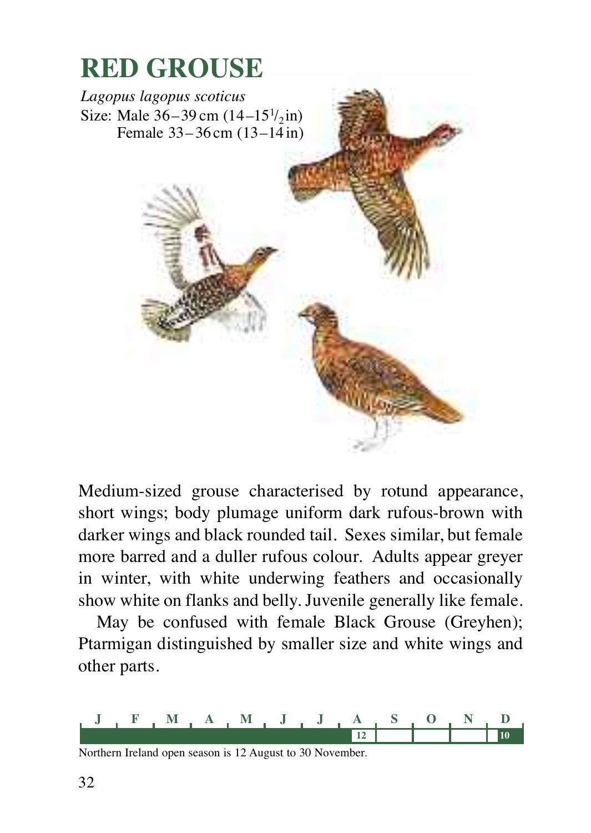

Medium-sized grouse characterised by rotund appearance, short wings; body plumage uniform dark rufous-brown with darker wings and black rounded tail. Sexes similar, but female more barred and a duller rufous colour. Adults appear greyer in winter, with white underwing feathers and occasionally show white on flanks and belly. Juvenile generally like female.

May be confused with female Black Grouse (Greyhen); Ptarmigan distinguished by smaller size and white wings and other parts.



Northern Ireland open season is 12 August to 30 November.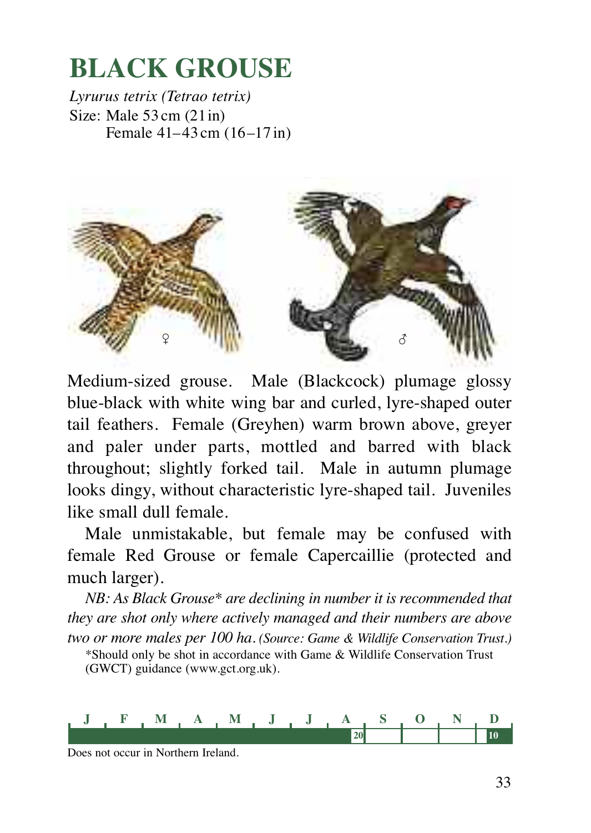### **BLACK GROUSE**

*Lyrurus tetrix (Tetrao tetrix)* Size: Male 53 cm (21in) Female 41–43 cm (16–17 in)



Medium-sized grouse. Male (Blackcock) plumage glossy blue-black with white wing bar and curled, lyre-shaped outer tail feathers. Female (Greyhen) warm brown above, greyer and paler under parts, mottled and barred with black throughout; slightly forked tail. Male in autumn plumage looks dingy, without characteristic lyre-shaped tail. Juveniles like small dull female.

Male unmistakable, but female may be confused with female Red Grouse or female Capercaillie (protected and much larger).

*NB: As Black Grouse\* are declining in number it is recommended that they are shot only where actively managed and their numbers are above two or more males per 100 ha. (Source: Game & Wildlife Conservation Trust.)*

\*Should only be shot in accordance with Game & Wildlife Conservation Trust (GWCT) guidance (www.gct.org.uk).



Does not occur in Northern Ireland.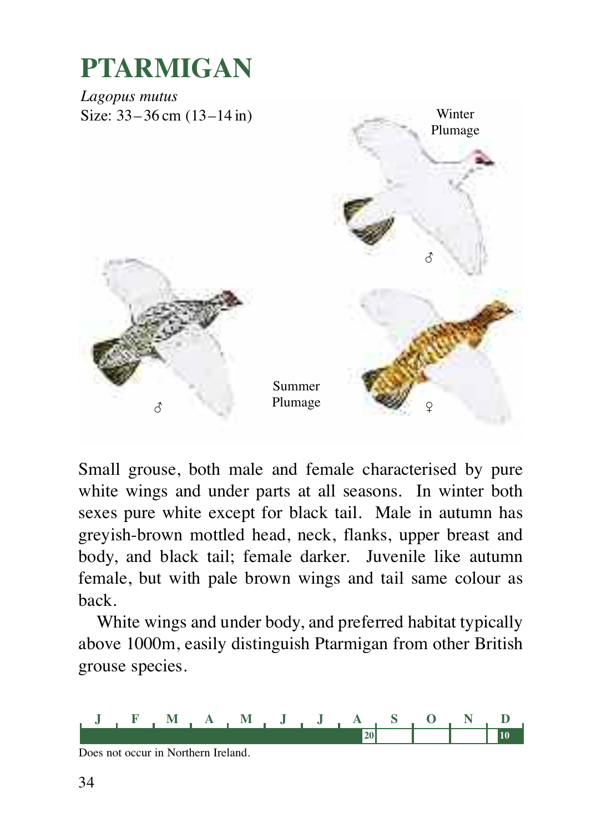

Small grouse, both male and female characterised by pure white wings and under parts at all seasons. In winter both sexes pure white except for black tail. Male in autumn has greyish-brown mottled head, neck, flanks, upper breast and body, and black tail; female darker. Juvenile like autumn female, but with pale brown wings and tail same colour as back.

White wings and under body, and preferred habitat typically above 1000m, easily distinguish Ptarmigan from other British grouse species.



Does not occur in Northern Ireland.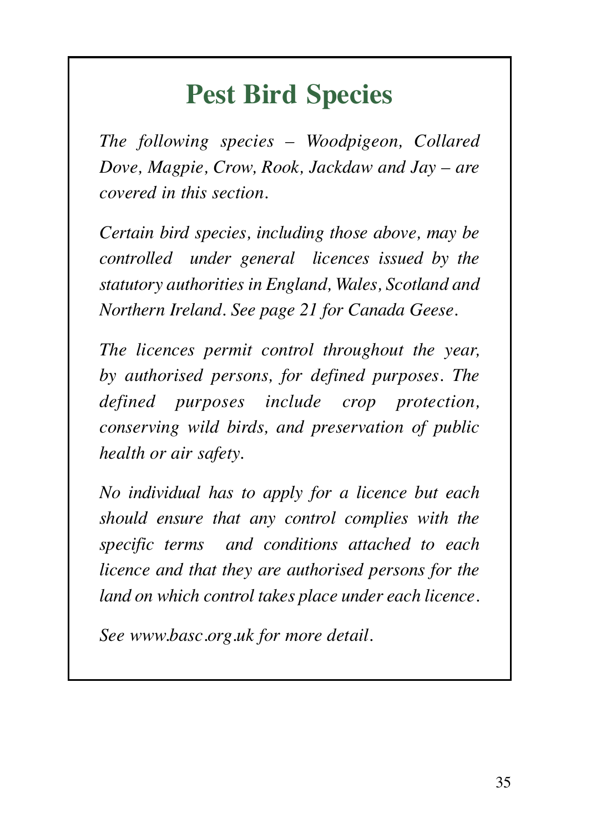### **Pest Bird Species**

*The following species – Woodpigeon, Collared Dove, Magpie, Crow, Rook, Jackdaw and Jay – are covered in this section.*

*Certain bird species, including those above, may be controlled under general licences issued by the statutory authorities in England, Wales, Scotland and Northern Ireland. See page 21 for Canada Geese.*

*The licences permit control throughout the year, by authorised persons, for defined purposes. The defined purposes include crop protection, conserving wild birds, and preservation of public health or air safety.*

*No individual has to apply for a licence but each should ensure that any control complies with the specific terms and conditions attached to each licence and that they are authorised persons for the land on which control takes place under each licence.*

*See www.basc.org.uk for more detail.*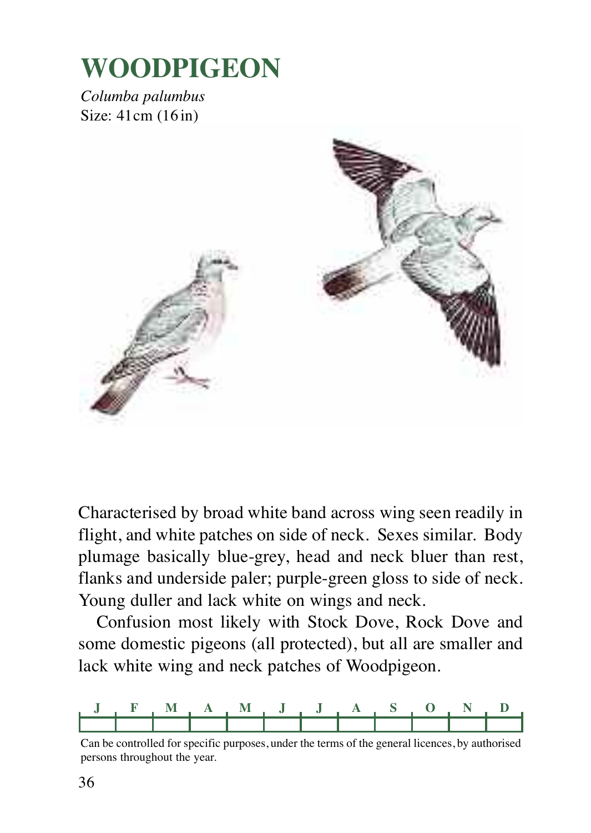### **WOODPIGEON**

*Columba palumbus* Size: 41cm (16 in)



Characterised by broad white band across wing seen readily in flight, and white patches on side of neck. Sexes similar. Body plumage basically blue-grey, head and neck bluer than rest, flanks and underside paler; purple-green gloss to side of neck. Young duller and lack white on wings and neck.

Confusion most likely with Stock Dove, Rock Dove and some domestic pigeons (all protected), but all are smaller and lack white wing and neck patches of Woodpigeon.



Can be controlled for specific purposes, under the terms of the general licences, by authorised persons throughout the year.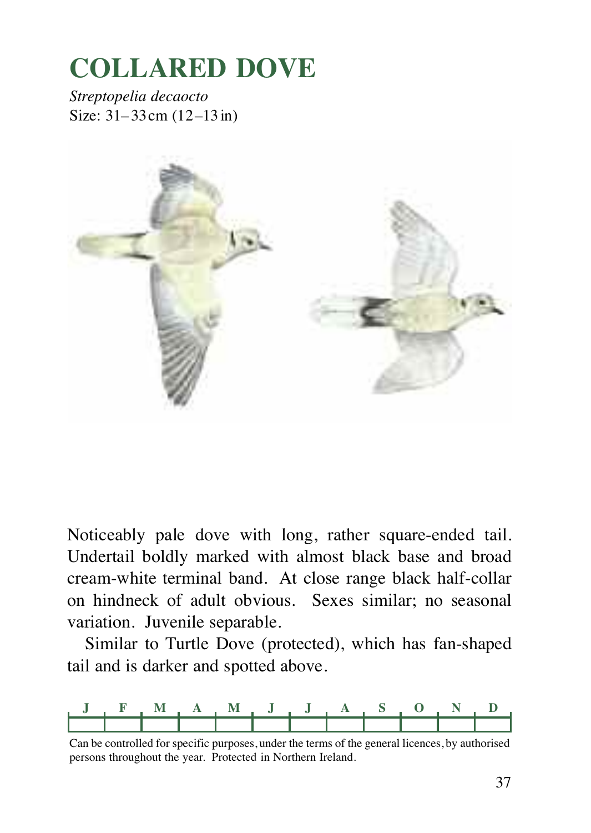# **COLLARED DOVE**

*Streptopelia decaocto* Size: 31–33cm (12–13in)



Noticeably pale dove with long, rather square-ended tail. Undertail boldly marked with almost black base and broad cream-white terminal band. At close range black half-collar on hindneck of adult obvious. Sexes similar; no seasonal variation. Juvenile separable.

Similar to Turtle Dove (protected), which has fan-shaped tail and is darker and spotted above.



Can be controlled for specific purposes, under the terms of the general licences, by authorised persons throughout the year. Protected in Northern Ireland.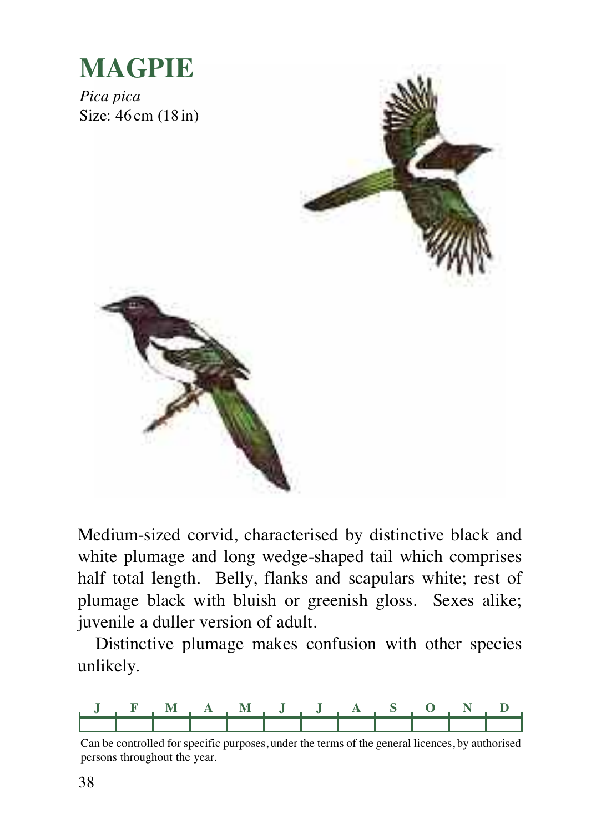

Medium-sized corvid, characterised by distinctive black and white plumage and long wedge-shaped tail which comprises half total length. Belly, flanks and scapulars white; rest of plumage black with bluish or greenish gloss. Sexes alike; juvenile a duller version of adult.

Distinctive plumage makes confusion with other species unlikely.



Can be controlled for specific purposes, under the terms of the general licences, by authorised persons throughout the year.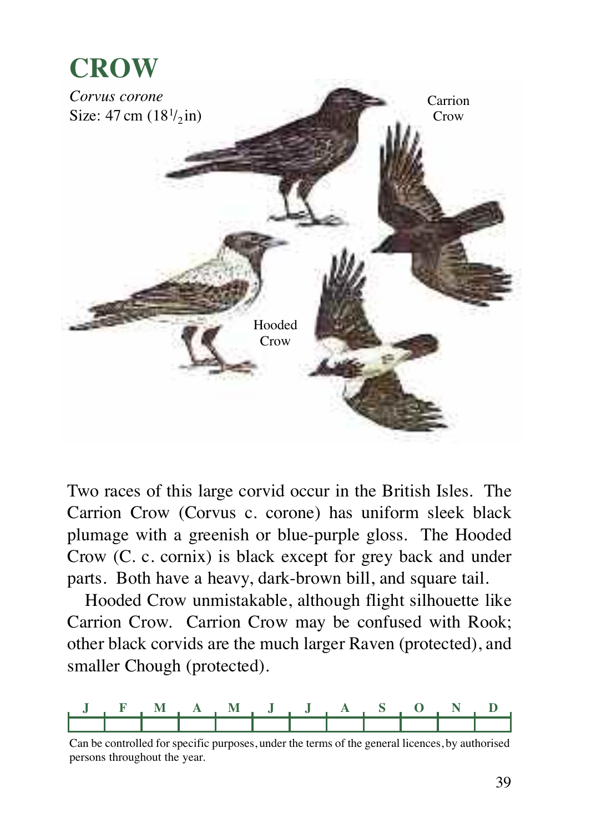



Two races of this large corvid occur in the British Isles. The Carrion Crow (Corvus c. corone) has uniform sleek black plumage with a greenish or blue-purple gloss. The Hooded Crow (C. c. cornix) is black except for grey back and under parts. Both have a heavy, dark-brown bill, and square tail.

Hooded Crow unmistakable, although flight silhouette like Carrion Crow. Carrion Crow may be confused with Rook; other black corvids are the much larger Raven (protected), and smaller Chough (protected).



Can be controlled for specific purposes, under the terms of the general licences, by authorised persons throughout the year.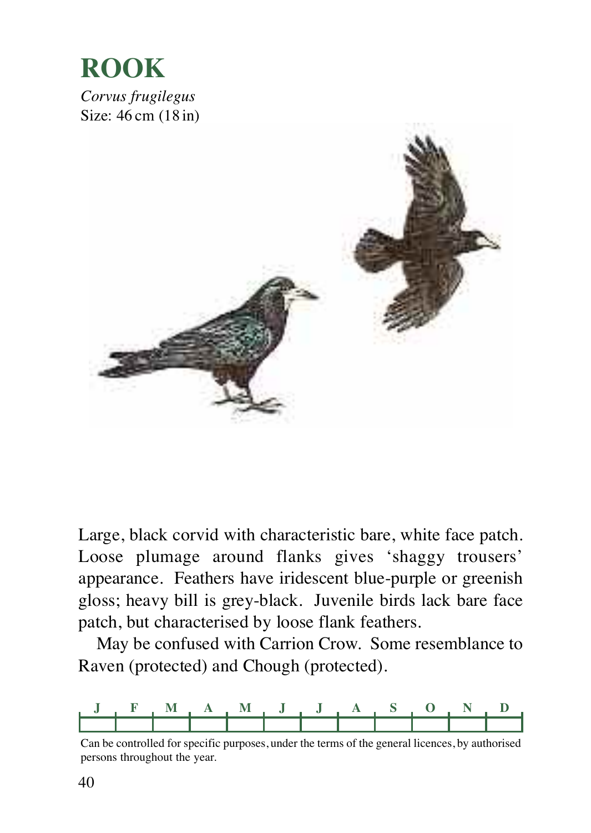

Large, black corvid with characteristic bare, white face patch. Loose plumage around flanks gives 'shaggy trousers' appearance. Feathers have iridescent blue-purple or greenish gloss; heavy bill is grey-black. Juvenile birds lack bare face patch, but characterised by loose flank feathers.

May be confused with Carrion Crow. Some resemblance to Raven (protected) and Chough (protected).



Can be controlled for specific purposes, under the terms of the general licences, by authorised persons throughout the year.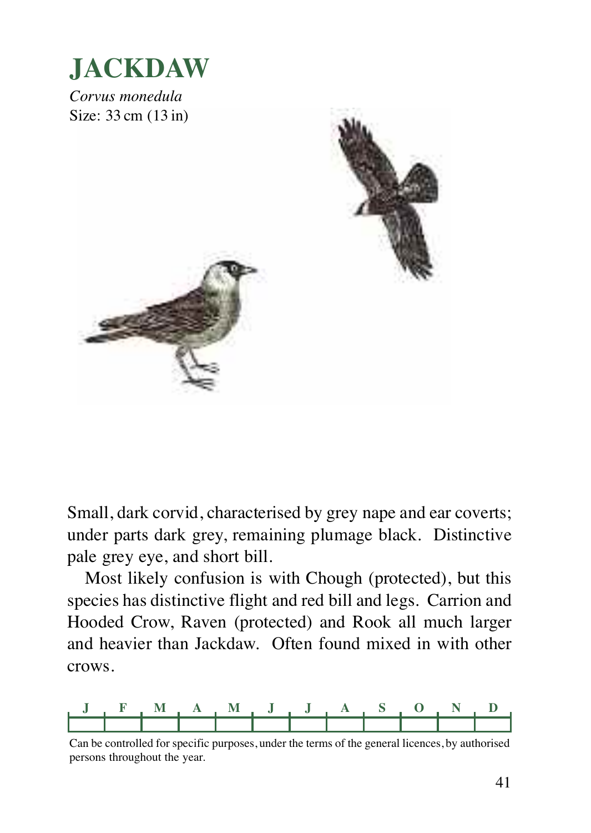

Small, dark corvid, characterised by grey nape and ear coverts; under parts dark grey, remaining plumage black. Distinctive pale grey eye, and short bill.

Most likely confusion is with Chough (protected), but this species has distinctive flight and red bill and legs. Carrion and Hooded Crow, Raven (protected) and Rook all much larger and heavier than Jackdaw. Often found mixed in with other crows.



Can be controlled for specific purposes, under the terms of the general licences, by authorised persons throughout the year.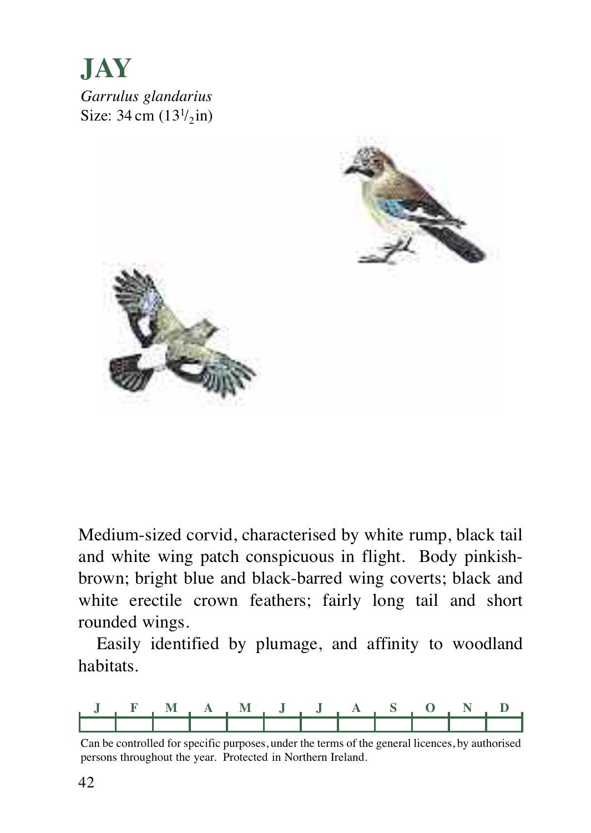**JAY** *Garrulus glandarius* Size:  $34 \text{ cm } (13^{1}/_{2} \text{ in})$ 



Medium-sized corvid, characterised by white rump, black tail and white wing patch conspicuous in flight. Body pinkishbrown; bright blue and black-barred wing coverts; black and white erectile crown feathers; fairly long tail and short rounded wings.

Easily identified by plumage, and affinity to woodland habitats.



Can be controlled for specific purposes, under the terms of the general licences, by authorised persons throughout the year. Protected in Northern Ireland.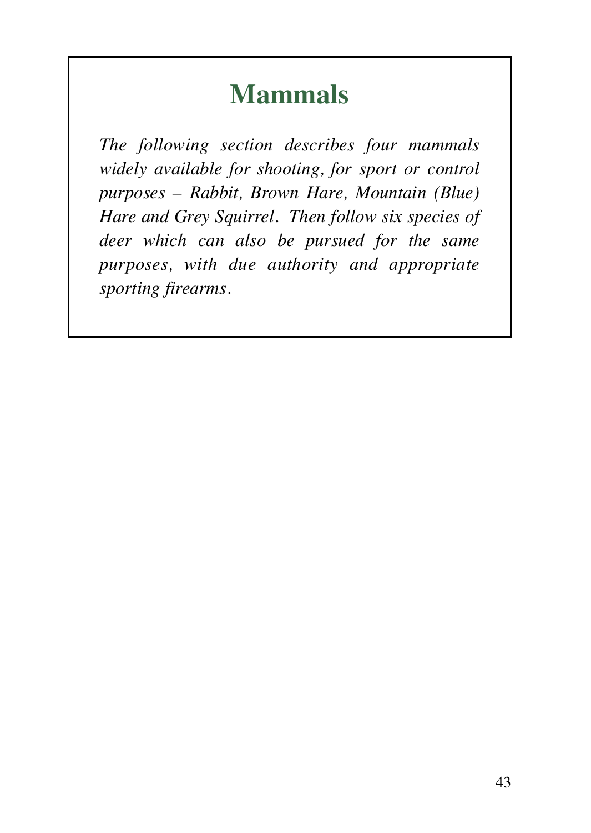### **Mammals**

*The following section describes four mammals widely available for shooting, for sport or control purposes – Rabbit, Brown Hare, Mountain (Blue) Hare and Grey Squirrel. Then follow six species of deer which can also be pursued for the same purposes, with due authority and appropriate sporting firearms.*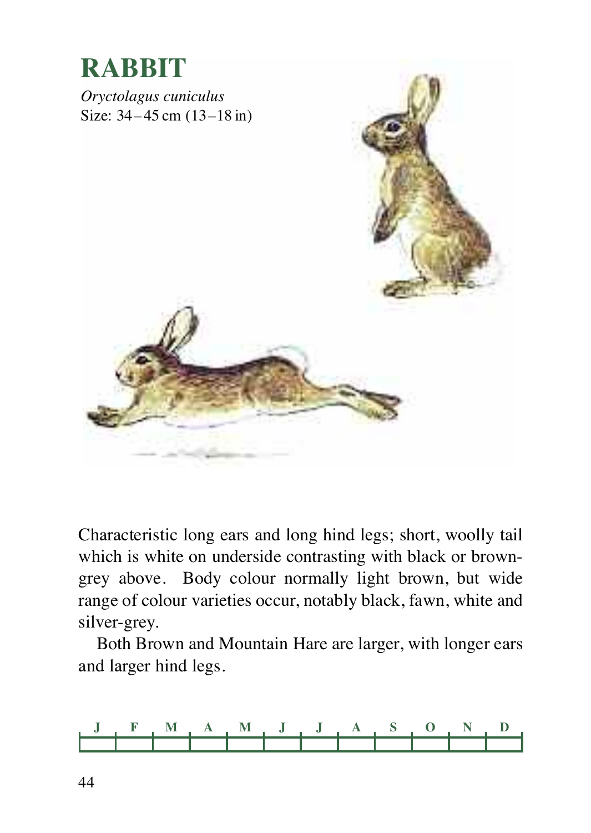

Characteristic long ears and long hind legs; short, woolly tail which is white on underside contrasting with black or browngrey above. Body colour normally light brown, but wide range of colour varieties occur, notably black, fawn, white and silver-grey.

Both Brown and Mountain Hare are larger, with longer ears and larger hind legs.

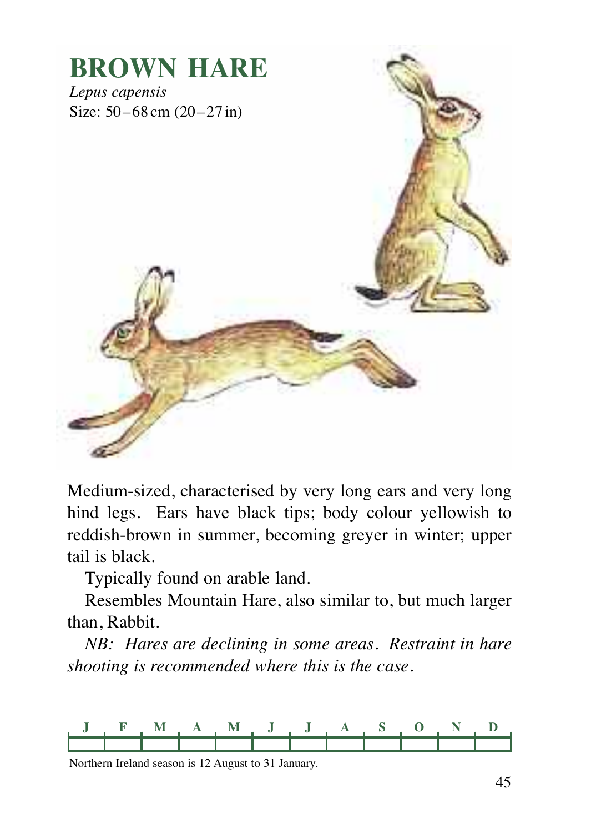

Medium-sized, characterised by very long ears and very long hind legs. Ears have black tips; body colour yellowish to reddish-brown in summer, becoming greyer in winter; upper tail is black.

Typically found on arable land.

Resembles Mountain Hare, also similar to, but much larger than, Rabbit.

*NB: Hares are declining in some areas. Restraint in hare shooting is recommended where this is the case.*



Northern Ireland season is 12 August to 31 January.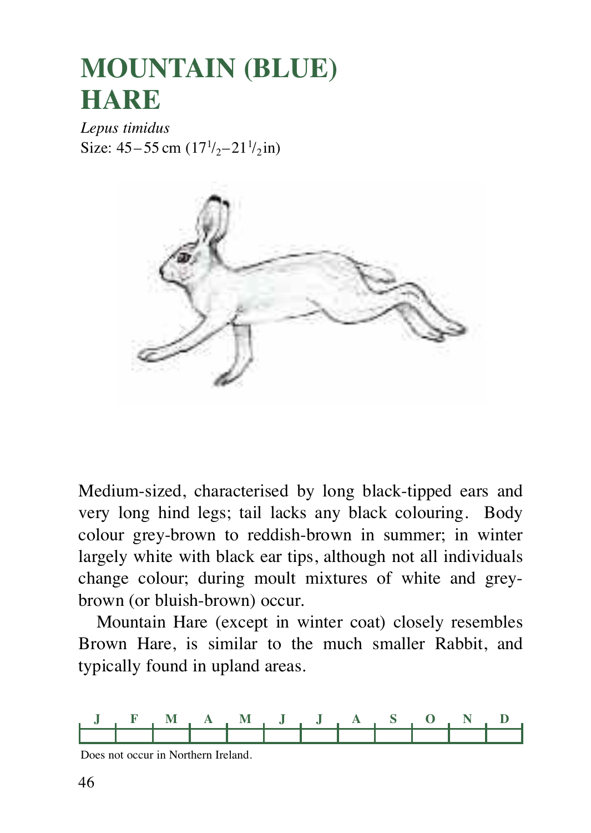### **MOUNTAIN (BLUE) HARE**

*Lepus timidus* Size:  $45 - 55$  cm  $(17^{1}/_2 - 21^{1}/_2)$  in)



Medium-sized, characterised by long black-tipped ears and very long hind legs; tail lacks any black colouring. Body colour grey-brown to reddish-brown in summer; in winter largely white with black ear tips, although not all individuals change colour; during moult mixtures of white and greybrown (or bluish-brown) occur.

Mountain Hare (except in winter coat) closely resembles Brown Hare, is similar to the much smaller Rabbit, and typically found in upland areas.



Does not occur in Northern Ireland.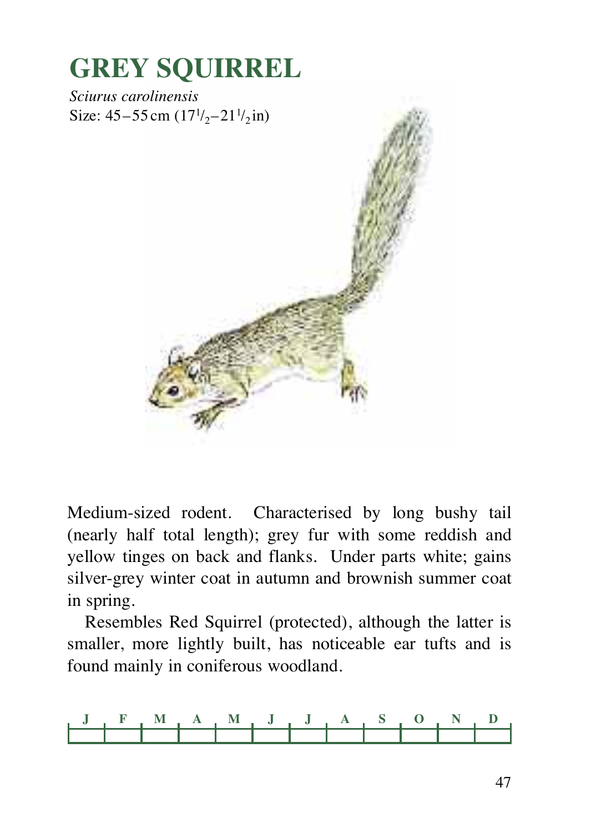

Medium-sized rodent. Characterised by long bushy tail (nearly half total length); grey fur with some reddish and yellow tinges on back and flanks. Under parts white; gains silver-grey winter coat in autumn and brownish summer coat in spring.

Resembles Red Squirrel (protected), although the latter is smaller, more lightly built, has noticeable ear tufts and is found mainly in coniferous woodland.

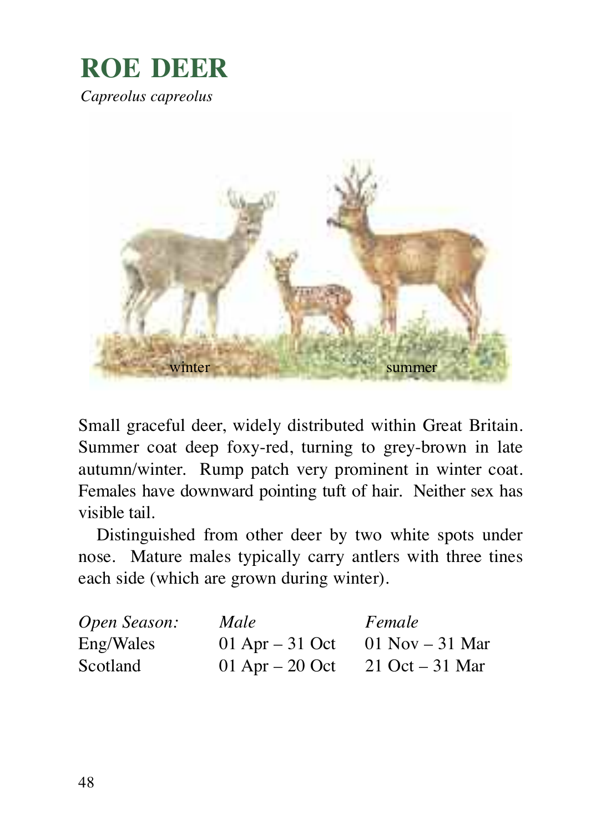### **ROE DEER** *Capreolus capreolus*



Small graceful deer, widely distributed within Great Britain. Summer coat deep foxy-red, turning to grey-brown in late autumn/winter. Rump patch very prominent in winter coat. Females have downward pointing tuft of hair. Neither sex has visible tail.

Distinguished from other deer by two white spots under nose. Mature males typically carry antlers with three tines each side (which are grown during winter).

| Open Season: | Male              | Female                            |
|--------------|-------------------|-----------------------------------|
| Eng/Wales    | 01 Apr $-31$ Oct  | $01$ Nov $-31$ Mar                |
| Scotland     | 01 Apr $-$ 20 Oct | $21 \text{ Oct} - 31 \text{ Mar}$ |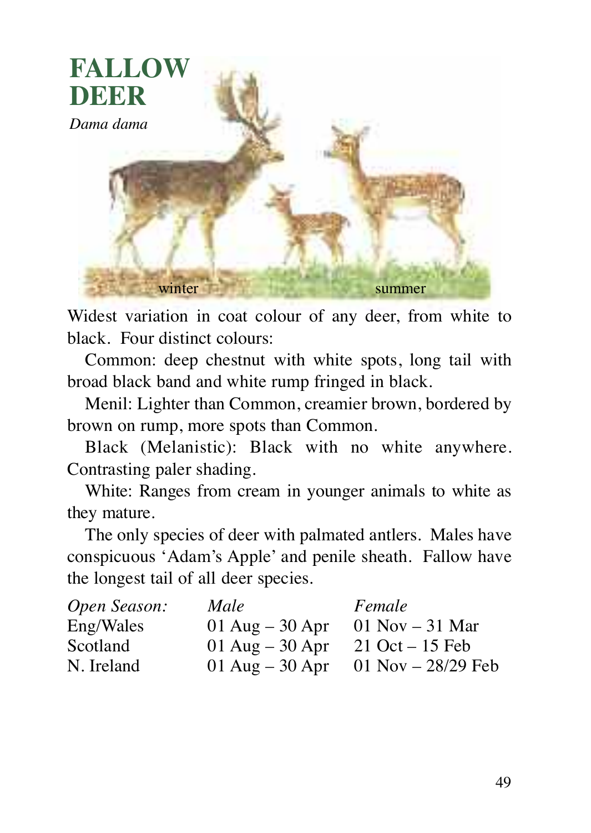

Widest variation in coat colour of any deer, from white to black. Four distinct colours:

Common: deep chestnut with white spots, long tail with broad black band and white rump fringed in black.

Menil: Lighter than Common, creamier brown, bordered by brown on rump, more spots than Common.

Black (Melanistic): Black with no white anywhere. Contrasting paler shading.

White: Ranges from cream in younger animals to white as they mature.

The only species of deer with palmated antlers. Males have conspicuous 'Adam's Apple' and penile sheath. Fallow have the longest tail of all deer species.

| Open Season: | Male              | Female               |
|--------------|-------------------|----------------------|
| Eng/Wales    | 01 Aug $-$ 30 Apr | $01$ Nov $-31$ Mar   |
| Scotland     | 01 Aug $-30$ Apr  | $21$ Oct $-15$ Feb   |
| N. Ireland   | 01 Aug $-30$ Apr  | 01 Nov $- 28/29$ Feb |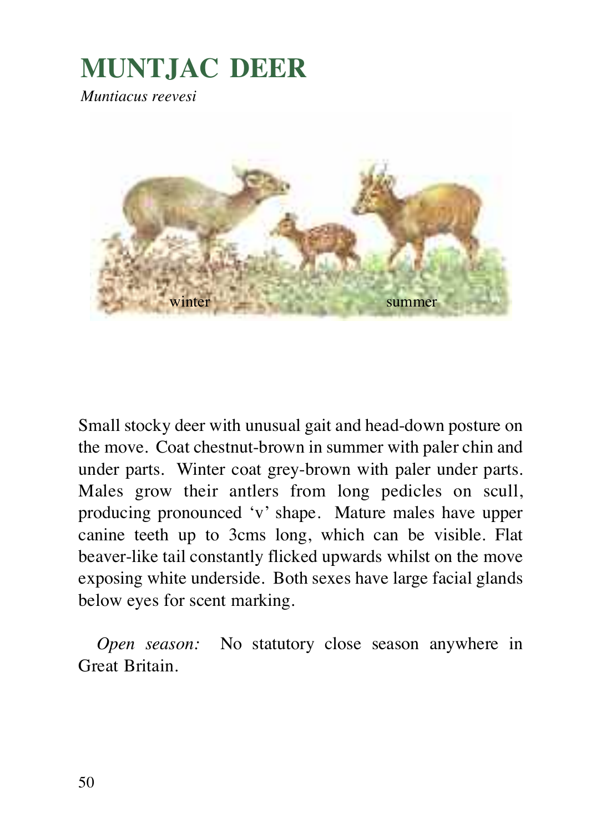### **MUNTJAC DEER**

*Muntiacus reevesi*



Small stocky deer with unusual gait and head-down posture on the move. Coat chestnut-brown in summer with paler chin and under parts. Winter coat grey-brown with paler under parts. Males grow their antlers from long pedicles on scull, producing pronounced 'v' shape. Mature males have upper canine teeth up to 3cms long, which can be visible. Flat beaver-like tail constantly flicked upwards whilst on the move exposing white underside. Both sexes have large facial glands below eyes for scent marking.

*Open season:* No statutory close season anywhere in Great Britain.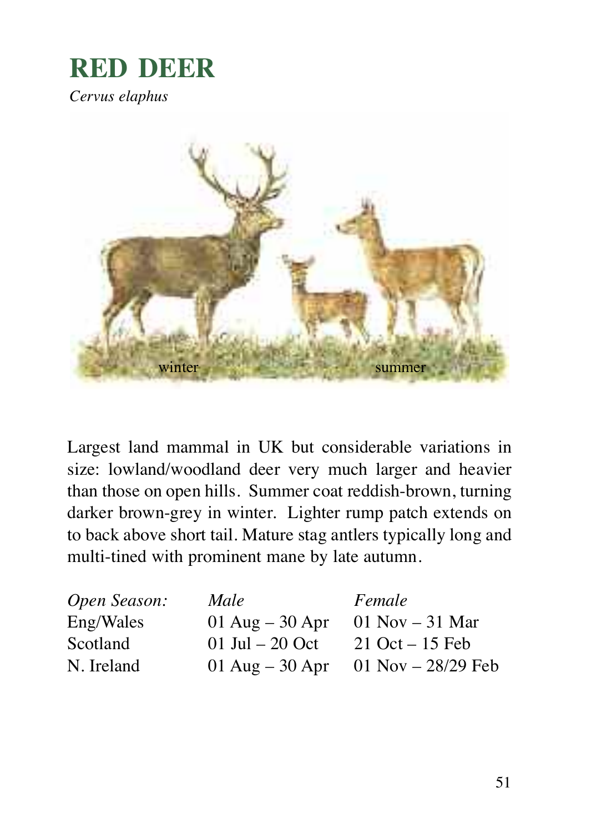### **RED DEER**

*Cervus elaphus*



Largest land mammal in UK but considerable variations in size: lowland/woodland deer very much larger and heavier than those on open hills. Summer coat reddish-brown, turning darker brown-grey in winter. Lighter rump patch extends on to back above short tail. Mature stag antlers typically long and multi-tined with prominent mane by late autumn.

| Open Season: | Male              | Female               |
|--------------|-------------------|----------------------|
| Eng/Wales    | 01 Aug $-$ 30 Apr | 01 Nov $-31$ Mar     |
| Scotland     | 01 Jul $-20$ Oct  | $21$ Oct $-15$ Feb   |
| N. Ireland   | 01 Aug $-$ 30 Apr | 01 Nov $- 28/29$ Feb |